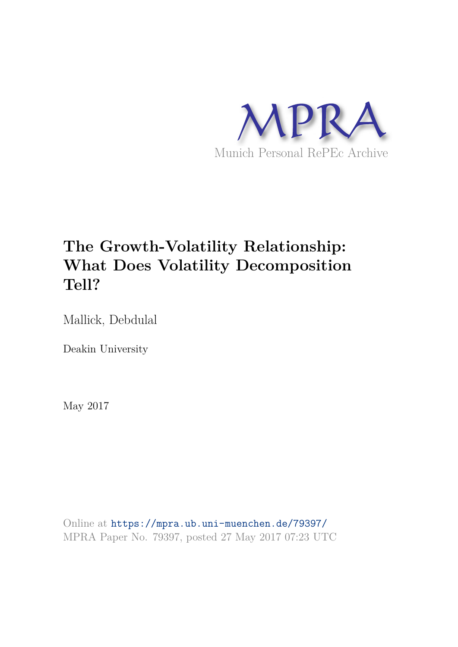

# **The Growth-Volatility Relationship: What Does Volatility Decomposition Tell?**

Mallick, Debdulal

Deakin University

May 2017

Online at https://mpra.ub.uni-muenchen.de/79397/ MPRA Paper No. 79397, posted 27 May 2017 07:23 UTC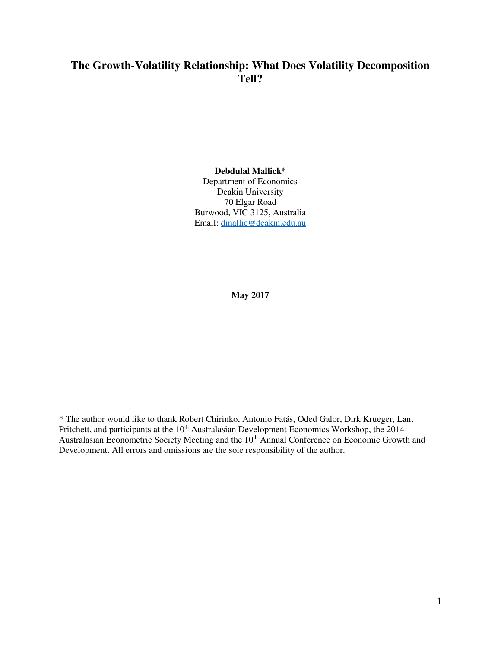# **The Growth-Volatility Relationship: What Does Volatility Decomposition Tell?**

#### **Debdulal Mallick\***

Department of Economics Deakin University 70 Elgar Road Burwood, VIC 3125, Australia Email: dmallic@deakin.edu.au

**May 2017** 

\* The author would like to thank Robert Chirinko, Antonio Fatás, Oded Galor, Dirk Krueger, Lant Pritchett, and participants at the 10<sup>th</sup> Australasian Development Economics Workshop, the 2014 Australasian Econometric Society Meeting and the 10<sup>th</sup> Annual Conference on Economic Growth and Development. All errors and omissions are the sole responsibility of the author.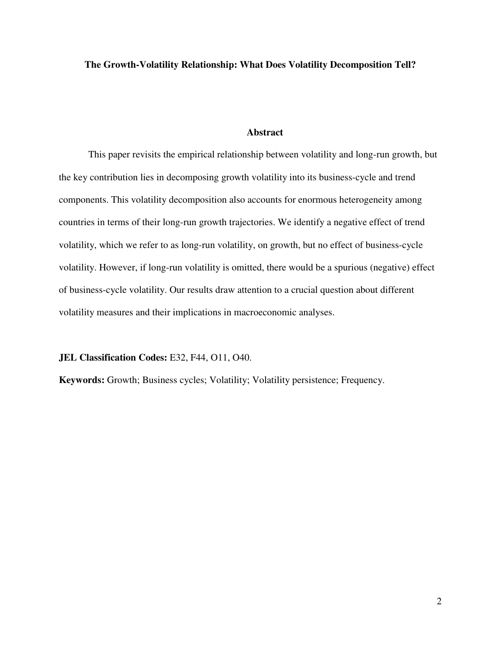**The Growth-Volatility Relationship: What Does Volatility Decomposition Tell?** 

## **Abstract**

This paper revisits the empirical relationship between volatility and long-run growth, but the key contribution lies in decomposing growth volatility into its business-cycle and trend components. This volatility decomposition also accounts for enormous heterogeneity among countries in terms of their long-run growth trajectories. We identify a negative effect of trend volatility, which we refer to as long-run volatility, on growth, but no effect of business-cycle volatility. However, if long-run volatility is omitted, there would be a spurious (negative) effect of business-cycle volatility. Our results draw attention to a crucial question about different volatility measures and their implications in macroeconomic analyses.

**JEL Classification Codes:** E32, F44, O11, O40.

**Keywords:** Growth; Business cycles; Volatility; Volatility persistence; Frequency.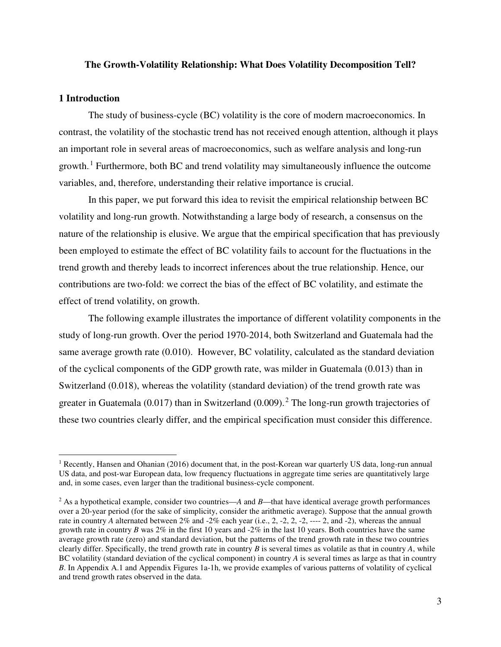## **The Growth-Volatility Relationship: What Does Volatility Decomposition Tell?**

## **1 Introduction**

 $\overline{a}$ 

The study of business-cycle (BC) volatility is the core of modern macroeconomics. In contrast, the volatility of the stochastic trend has not received enough attention, although it plays an important role in several areas of macroeconomics, such as welfare analysis and long-run growth.<sup>1</sup> Furthermore, both BC and trend volatility may simultaneously influence the outcome variables, and, therefore, understanding their relative importance is crucial.

In this paper, we put forward this idea to revisit the empirical relationship between BC volatility and long-run growth. Notwithstanding a large body of research, a consensus on the nature of the relationship is elusive. We argue that the empirical specification that has previously been employed to estimate the effect of BC volatility fails to account for the fluctuations in the trend growth and thereby leads to incorrect inferences about the true relationship. Hence, our contributions are two-fold: we correct the bias of the effect of BC volatility, and estimate the effect of trend volatility, on growth.

The following example illustrates the importance of different volatility components in the study of long-run growth. Over the period 1970-2014, both Switzerland and Guatemala had the same average growth rate (0.010). However, BC volatility, calculated as the standard deviation of the cyclical components of the GDP growth rate, was milder in Guatemala (0.013) than in Switzerland (0.018), whereas the volatility (standard deviation) of the trend growth rate was greater in Guatemala  $(0.017)$  than in Switzerland  $(0.009)$ .<sup>2</sup> The long-run growth trajectories of these two countries clearly differ, and the empirical specification must consider this difference.

<sup>&</sup>lt;sup>1</sup> Recently, Hansen and Ohanian (2016) document that, in the post-Korean war quarterly US data, long-run annual US data, and post-war European data, low frequency fluctuations in aggregate time series are quantitatively large and, in some cases, even larger than the traditional business-cycle component.

<sup>&</sup>lt;sup>2</sup> As a hypothetical example, consider two countries—*A* and *B*—that have identical average growth performances over a 20-year period (for the sake of simplicity, consider the arithmetic average). Suppose that the annual growth rate in country *A* alternated between 2% and -2% each year (i.e., 2, -2, -2, -2, ---- 2, and -2), whereas the annual growth rate in country *B* was  $2\%$  in the first 10 years and  $-2\%$  in the last 10 years. Both countries have the same average growth rate (zero) and standard deviation, but the patterns of the trend growth rate in these two countries clearly differ. Specifically, the trend growth rate in country *B* is several times as volatile as that in country *A*, while BC volatility (standard deviation of the cyclical component) in country *A* is several times as large as that in country *B*. In Appendix A.1 and Appendix Figures 1a-1h, we provide examples of various patterns of volatility of cyclical and trend growth rates observed in the data.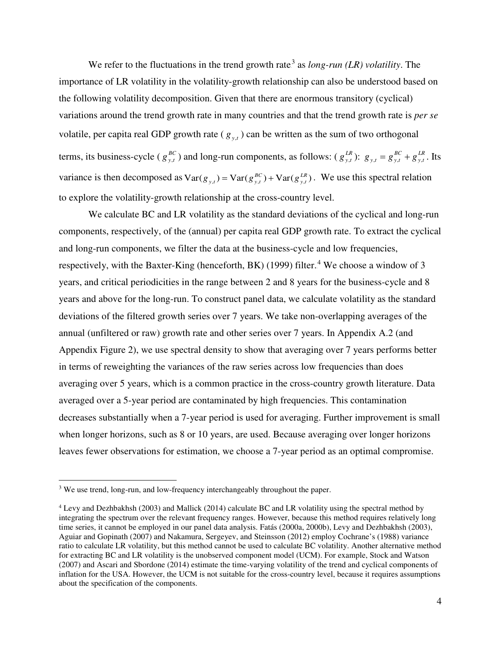We refer to the fluctuations in the trend growth rate<sup>3</sup> as *long-run (LR) volatility*. The importance of LR volatility in the volatility-growth relationship can also be understood based on the following volatility decomposition. Given that there are enormous transitory (cyclical) variations around the trend growth rate in many countries and that the trend growth rate is *per se* volatile, per capita real GDP growth rate  $(g_{y,t})$  can be written as the sum of two orthogonal terms, its business-cycle ( $g_{y}^{B}$ ,  $g_{y,t}^{BC}$ ) and long-run components, as follows: ( $g_{y,t}^{L}$  $g_{y,t}^{LR}$  ):  $g_{y,t} = g_{y,t}^{BC} + g_{y,t}^{Ll}$  $g_{y,t} = g_{y,t}^{BC} + g_{y,t}^{LR}$ . Its variance is then decomposed as  $Var(g_{y,t}) = Var(g_{y,t}^{BC}) + Var(g_{y,t}^{BC})$ . We use this spectral relation to explore the volatility-growth relationship at the cross-country level.

We calculate BC and LR volatility as the standard deviations of the cyclical and long-run components, respectively, of the (annual) per capita real GDP growth rate. To extract the cyclical and long-run components, we filter the data at the business-cycle and low frequencies, respectively, with the Baxter-King (henceforth, BK) (1999) filter.<sup>4</sup> We choose a window of 3 years, and critical periodicities in the range between 2 and 8 years for the business-cycle and 8 years and above for the long-run. To construct panel data, we calculate volatility as the standard deviations of the filtered growth series over 7 years. We take non-overlapping averages of the annual (unfiltered or raw) growth rate and other series over 7 years. In Appendix A.2 (and Appendix Figure 2), we use spectral density to show that averaging over 7 years performs better in terms of reweighting the variances of the raw series across low frequencies than does averaging over 5 years, which is a common practice in the cross-country growth literature. Data averaged over a 5-year period are contaminated by high frequencies. This contamination decreases substantially when a 7-year period is used for averaging. Further improvement is small when longer horizons, such as 8 or 10 years, are used. Because averaging over longer horizons leaves fewer observations for estimation, we choose a 7-year period as an optimal compromise.

 $\overline{a}$ 

<sup>&</sup>lt;sup>3</sup> We use trend, long-run, and low-frequency interchangeably throughout the paper.

<sup>4</sup> Levy and Dezhbakhsh (2003) and Mallick (2014) calculate BC and LR volatility using the spectral method by integrating the spectrum over the relevant frequency ranges. However, because this method requires relatively long time series, it cannot be employed in our panel data analysis. Fatás (2000a, 2000b), Levy and Dezhbakhsh (2003), Aguiar and Gopinath (2007) and Nakamura, Sergeyev, and Steinsson (2012) employ Cochrane's (1988) variance ratio to calculate LR volatility, but this method cannot be used to calculate BC volatility. Another alternative method for extracting BC and LR volatility is the unobserved component model (UCM). For example, Stock and Watson (2007) and Ascari and Sbordone (2014) estimate the time-varying volatility of the trend and cyclical components of inflation for the USA. However, the UCM is not suitable for the cross-country level, because it requires assumptions about the specification of the components.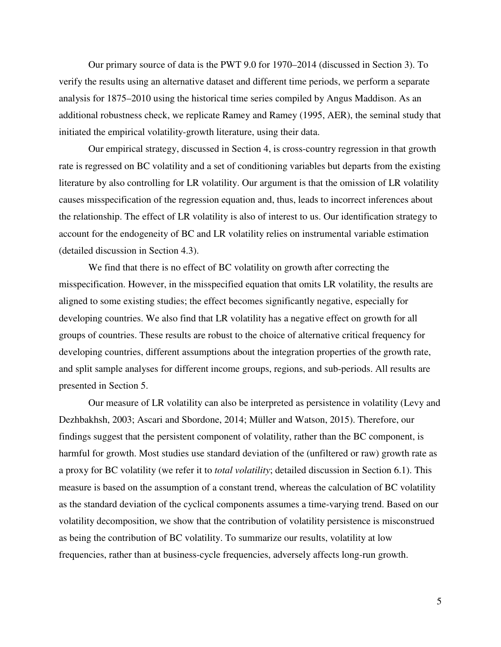Our primary source of data is the PWT 9.0 for 1970–2014 (discussed in Section 3). To verify the results using an alternative dataset and different time periods, we perform a separate analysis for 1875–2010 using the historical time series compiled by Angus Maddison. As an additional robustness check, we replicate Ramey and Ramey (1995, AER), the seminal study that initiated the empirical volatility-growth literature, using their data.

Our empirical strategy, discussed in Section 4, is cross-country regression in that growth rate is regressed on BC volatility and a set of conditioning variables but departs from the existing literature by also controlling for LR volatility. Our argument is that the omission of LR volatility causes misspecification of the regression equation and, thus, leads to incorrect inferences about the relationship. The effect of LR volatility is also of interest to us. Our identification strategy to account for the endogeneity of BC and LR volatility relies on instrumental variable estimation (detailed discussion in Section 4.3).

We find that there is no effect of BC volatility on growth after correcting the misspecification. However, in the misspecified equation that omits LR volatility, the results are aligned to some existing studies; the effect becomes significantly negative, especially for developing countries. We also find that LR volatility has a negative effect on growth for all groups of countries. These results are robust to the choice of alternative critical frequency for developing countries, different assumptions about the integration properties of the growth rate, and split sample analyses for different income groups, regions, and sub-periods. All results are presented in Section 5.

Our measure of LR volatility can also be interpreted as persistence in volatility (Levy and Dezhbakhsh, 2003; Ascari and Sbordone, 2014; Müller and Watson, 2015). Therefore, our findings suggest that the persistent component of volatility, rather than the BC component, is harmful for growth. Most studies use standard deviation of the (unfiltered or raw) growth rate as a proxy for BC volatility (we refer it to *total volatility*; detailed discussion in Section 6.1). This measure is based on the assumption of a constant trend, whereas the calculation of BC volatility as the standard deviation of the cyclical components assumes a time-varying trend. Based on our volatility decomposition, we show that the contribution of volatility persistence is misconstrued as being the contribution of BC volatility. To summarize our results, volatility at low frequencies, rather than at business-cycle frequencies, adversely affects long-run growth.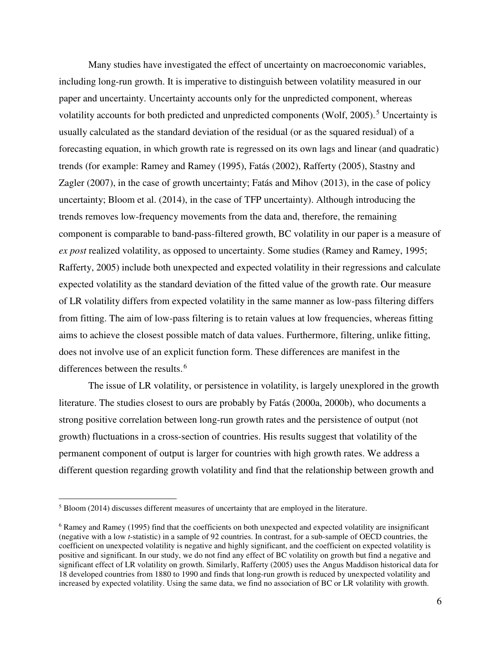Many studies have investigated the effect of uncertainty on macroeconomic variables, including long-run growth. It is imperative to distinguish between volatility measured in our paper and uncertainty. Uncertainty accounts only for the unpredicted component, whereas volatility accounts for both predicted and unpredicted components (Wolf, 2005).<sup>5</sup> Uncertainty is usually calculated as the standard deviation of the residual (or as the squared residual) of a forecasting equation, in which growth rate is regressed on its own lags and linear (and quadratic) trends (for example: Ramey and Ramey (1995), Fatás (2002), Rafferty (2005), Stastny and Zagler (2007), in the case of growth uncertainty; Fatás and Mihov (2013), in the case of policy uncertainty; Bloom et al. (2014), in the case of TFP uncertainty). Although introducing the trends removes low-frequency movements from the data and, therefore, the remaining component is comparable to band-pass-filtered growth, BC volatility in our paper is a measure of *ex post* realized volatility, as opposed to uncertainty. Some studies (Ramey and Ramey, 1995; Rafferty, 2005) include both unexpected and expected volatility in their regressions and calculate expected volatility as the standard deviation of the fitted value of the growth rate. Our measure of LR volatility differs from expected volatility in the same manner as low-pass filtering differs from fitting. The aim of low-pass filtering is to retain values at low frequencies, whereas fitting aims to achieve the closest possible match of data values. Furthermore, filtering, unlike fitting, does not involve use of an explicit function form. These differences are manifest in the differences between the results.<sup>6</sup>

The issue of LR volatility, or persistence in volatility, is largely unexplored in the growth literature. The studies closest to ours are probably by Fatás (2000a, 2000b), who documents a strong positive correlation between long-run growth rates and the persistence of output (not growth) fluctuations in a cross-section of countries. His results suggest that volatility of the permanent component of output is larger for countries with high growth rates. We address a different question regarding growth volatility and find that the relationship between growth and

 $\overline{a}$ 

 $5$  Bloom (2014) discusses different measures of uncertainty that are employed in the literature.

<sup>&</sup>lt;sup>6</sup> Ramey and Ramey (1995) find that the coefficients on both unexpected and expected volatility are insignificant (negative with a low *t*-statistic) in a sample of 92 countries. In contrast, for a sub-sample of OECD countries, the coefficient on unexpected volatility is negative and highly significant, and the coefficient on expected volatility is positive and significant. In our study, we do not find any effect of BC volatility on growth but find a negative and significant effect of LR volatility on growth. Similarly, Rafferty (2005) uses the Angus Maddison historical data for 18 developed countries from 1880 to 1990 and finds that long-run growth is reduced by unexpected volatility and increased by expected volatility. Using the same data, we find no association of BC or LR volatility with growth.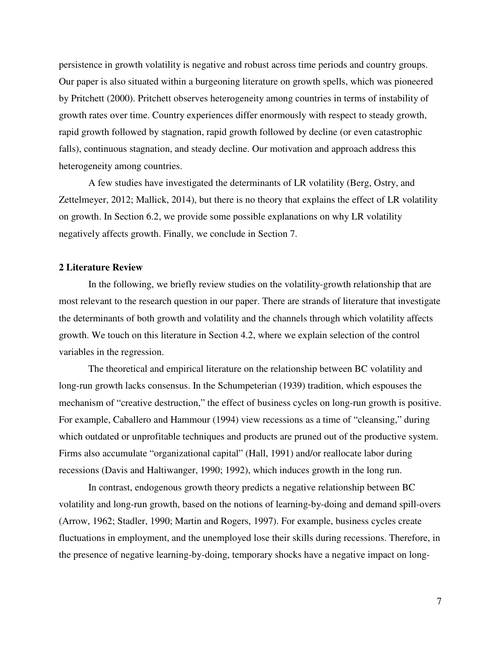persistence in growth volatility is negative and robust across time periods and country groups. Our paper is also situated within a burgeoning literature on growth spells, which was pioneered by Pritchett (2000). Pritchett observes heterogeneity among countries in terms of instability of growth rates over time. Country experiences differ enormously with respect to steady growth, rapid growth followed by stagnation, rapid growth followed by decline (or even catastrophic falls), continuous stagnation, and steady decline. Our motivation and approach address this heterogeneity among countries.

A few studies have investigated the determinants of LR volatility (Berg, Ostry, and Zettelmeyer, 2012; Mallick, 2014), but there is no theory that explains the effect of LR volatility on growth. In Section 6.2, we provide some possible explanations on why LR volatility negatively affects growth. Finally, we conclude in Section 7.

## **2 Literature Review**

In the following, we briefly review studies on the volatility-growth relationship that are most relevant to the research question in our paper. There are strands of literature that investigate the determinants of both growth and volatility and the channels through which volatility affects growth. We touch on this literature in Section 4.2, where we explain selection of the control variables in the regression.

The theoretical and empirical literature on the relationship between BC volatility and long-run growth lacks consensus. In the Schumpeterian (1939) tradition, which espouses the mechanism of "creative destruction," the effect of business cycles on long-run growth is positive. For example, Caballero and Hammour (1994) view recessions as a time of "cleansing," during which outdated or unprofitable techniques and products are pruned out of the productive system. Firms also accumulate "organizational capital" (Hall, 1991) and/or reallocate labor during recessions (Davis and Haltiwanger, 1990; 1992), which induces growth in the long run.

In contrast, endogenous growth theory predicts a negative relationship between BC volatility and long-run growth, based on the notions of learning-by-doing and demand spill-overs (Arrow, 1962; Stadler, 1990; Martin and Rogers, 1997). For example, business cycles create fluctuations in employment, and the unemployed lose their skills during recessions. Therefore, in the presence of negative learning-by-doing, temporary shocks have a negative impact on long-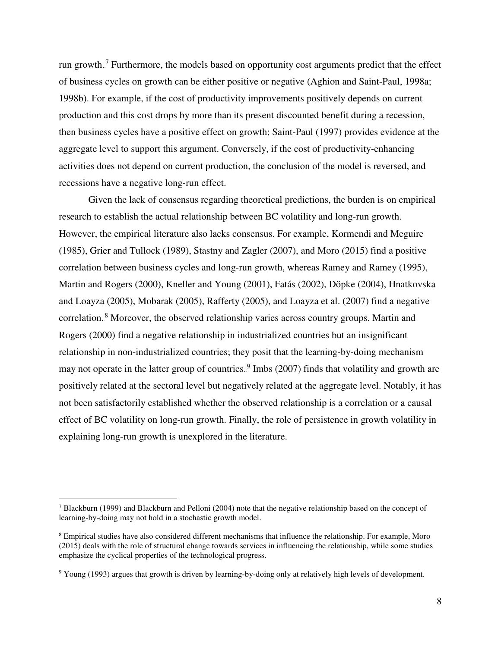run growth.<sup>7</sup> Furthermore, the models based on opportunity cost arguments predict that the effect of business cycles on growth can be either positive or negative (Aghion and Saint-Paul, 1998a; 1998b). For example, if the cost of productivity improvements positively depends on current production and this cost drops by more than its present discounted benefit during a recession, then business cycles have a positive effect on growth; Saint-Paul (1997) provides evidence at the aggregate level to support this argument. Conversely, if the cost of productivity-enhancing activities does not depend on current production, the conclusion of the model is reversed, and recessions have a negative long-run effect.

Given the lack of consensus regarding theoretical predictions, the burden is on empirical research to establish the actual relationship between BC volatility and long-run growth. However, the empirical literature also lacks consensus. For example, Kormendi and Meguire (1985), Grier and Tullock (1989), Stastny and Zagler (2007), and Moro (2015) find a positive correlation between business cycles and long-run growth, whereas Ramey and Ramey (1995), Martin and Rogers (2000), Kneller and Young (2001), Fatás (2002), Döpke (2004), Hnatkovska and Loayza (2005), Mobarak (2005), Rafferty (2005), and Loayza et al. (2007) find a negative correlation.<sup>8</sup> Moreover, the observed relationship varies across country groups. Martin and Rogers (2000) find a negative relationship in industrialized countries but an insignificant relationship in non-industrialized countries; they posit that the learning-by-doing mechanism may not operate in the latter group of countries.<sup>9</sup> Imbs (2007) finds that volatility and growth are positively related at the sectoral level but negatively related at the aggregate level. Notably, it has not been satisfactorily established whether the observed relationship is a correlation or a causal effect of BC volatility on long-run growth. Finally, the role of persistence in growth volatility in explaining long-run growth is unexplored in the literature.

 $\overline{a}$ 

<sup>7</sup> Blackburn (1999) and Blackburn and Pelloni (2004) note that the negative relationship based on the concept of learning-by-doing may not hold in a stochastic growth model.

<sup>8</sup> Empirical studies have also considered different mechanisms that influence the relationship. For example, Moro (2015) deals with the role of structural change towards services in influencing the relationship, while some studies emphasize the cyclical properties of the technological progress.

<sup>9</sup> Young (1993) argues that growth is driven by learning-by-doing only at relatively high levels of development.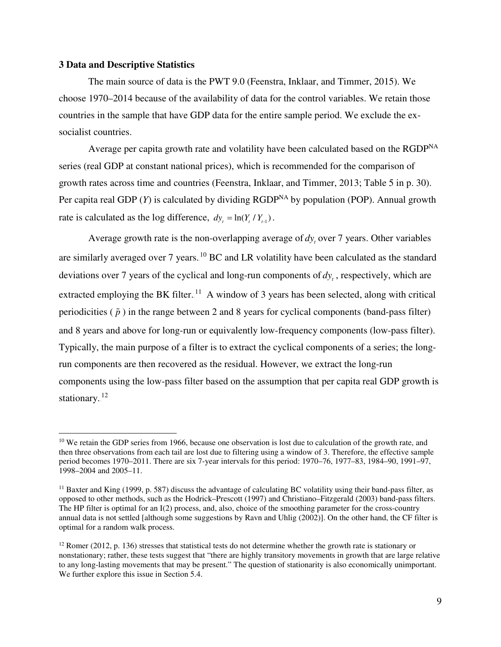## **3 Data and Descriptive Statistics**

 $\overline{a}$ 

The main source of data is the PWT 9.0 (Feenstra, Inklaar, and Timmer, 2015). We choose 1970–2014 because of the availability of data for the control variables. We retain those countries in the sample that have GDP data for the entire sample period. We exclude the exsocialist countries.

Average per capita growth rate and volatility have been calculated based on the RGDP<sup>NA</sup> series (real GDP at constant national prices), which is recommended for the comparison of growth rates across time and countries (Feenstra, Inklaar, and Timmer, 2013; Table 5 in p. 30). Per capita real GDP  $(Y)$  is calculated by dividing RGDP<sup>NA</sup> by population (POP). Annual growth rate is calculated as the log difference,  $dy_t = \ln(Y_t / Y_{t,1})$ .

Average growth rate is the non-overlapping average of  $dy_t$ , over 7 years. Other variables are similarly averaged over 7 years.  $^{10}$  BC and LR volatility have been calculated as the standard deviations over 7 years of the cyclical and long-run components of *<sup>t</sup> dy* , respectively, which are extracted employing the BK filter.<sup>11</sup> A window of 3 years has been selected, along with critical periodicities  $(\tilde{p})$  in the range between 2 and 8 years for cyclical components (band-pass filter) and 8 years and above for long-run or equivalently low-frequency components (low-pass filter). Typically, the main purpose of a filter is to extract the cyclical components of a series; the longrun components are then recovered as the residual. However, we extract the long-run components using the low-pass filter based on the assumption that per capita real GDP growth is stationary.<sup>12</sup>

<sup>&</sup>lt;sup>10</sup> We retain the GDP series from 1966, because one observation is lost due to calculation of the growth rate, and then three observations from each tail are lost due to filtering using a window of 3. Therefore, the effective sample period becomes 1970–2011. There are six 7-year intervals for this period: 1970–76, 1977–83, 1984–90, 1991–97, 1998–2004 and 2005–11.

 $11$  Baxter and King (1999, p. 587) discuss the advantage of calculating BC volatility using their band-pass filter, as opposed to other methods, such as the Hodrick–Prescott (1997) and Christiano–Fitzgerald (2003) band-pass filters. The HP filter is optimal for an I(2) process, and, also, choice of the smoothing parameter for the cross-country annual data is not settled [although some suggestions by Ravn and Uhlig (2002)]. On the other hand, the CF filter is optimal for a random walk process.

<sup>&</sup>lt;sup>12</sup> Romer (2012, p. 136) stresses that statistical tests do not determine whether the growth rate is stationary or nonstationary; rather, these tests suggest that "there are highly transitory movements in growth that are large relative to any long-lasting movements that may be present." The question of stationarity is also economically unimportant. We further explore this issue in Section 5.4.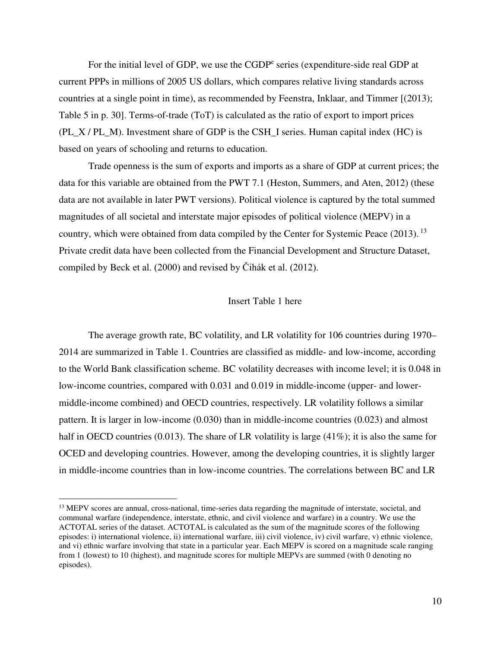For the initial level of GDP, we use the CGDP<sup>e</sup> series (expenditure-side real GDP at current PPPs in millions of 2005 US dollars, which compares relative living standards across countries at a single point in time), as recommended by Feenstra, Inklaar, and Timmer [(2013); Table 5 in p. 30]. Terms-of-trade (ToT) is calculated as the ratio of export to import prices (PL\_X / PL\_M). Investment share of GDP is the CSH\_I series. Human capital index (HC) is based on years of schooling and returns to education.

Trade openness is the sum of exports and imports as a share of GDP at current prices; the data for this variable are obtained from the PWT 7.1 (Heston, Summers, and Aten, 2012) (these data are not available in later PWT versions). Political violence is captured by the total summed magnitudes of all societal and interstate major episodes of political violence (MEPV) in a country, which were obtained from data compiled by the Center for Systemic Peace (2013).<sup>13</sup> Private credit data have been collected from the Financial Development and Structure Dataset, compiled by Beck et al. (2000) and revised by Čihák et al. (2012).

## Insert Table 1 here

The average growth rate, BC volatility, and LR volatility for 106 countries during 1970– 2014 are summarized in Table 1. Countries are classified as middle- and low-income, according to the World Bank classification scheme. BC volatility decreases with income level; it is 0.048 in low-income countries, compared with 0.031 and 0.019 in middle-income (upper- and lowermiddle-income combined) and OECD countries, respectively. LR volatility follows a similar pattern. It is larger in low-income (0.030) than in middle-income countries (0.023) and almost half in OECD countries (0.013). The share of LR volatility is large  $(41\%)$ ; it is also the same for OCED and developing countries. However, among the developing countries, it is slightly larger in middle-income countries than in low-income countries. The correlations between BC and LR

 $\overline{a}$ 

<sup>&</sup>lt;sup>13</sup> MEPV scores are annual, cross-national, time-series data regarding the magnitude of interstate, societal, and communal warfare (independence, interstate, ethnic, and civil violence and warfare) in a country. We use the ACTOTAL series of the dataset. ACTOTAL is calculated as the sum of the magnitude scores of the following episodes: i) international violence, ii) international warfare, iii) civil violence, iv) civil warfare, v) ethnic violence, and vi) ethnic warfare involving that state in a particular year. Each MEPV is scored on a magnitude scale ranging from 1 (lowest) to 10 (highest), and magnitude scores for multiple MEPVs are summed (with 0 denoting no episodes).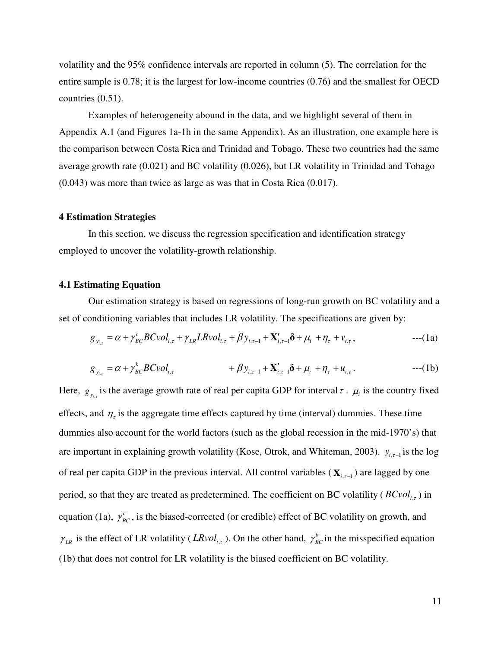volatility and the 95% confidence intervals are reported in column (5). The correlation for the entire sample is 0.78; it is the largest for low-income countries (0.76) and the smallest for OECD countries (0.51).

Examples of heterogeneity abound in the data, and we highlight several of them in Appendix A.1 (and Figures 1a-1h in the same Appendix). As an illustration, one example here is the comparison between Costa Rica and Trinidad and Tobago. These two countries had the same average growth rate (0.021) and BC volatility (0.026), but LR volatility in Trinidad and Tobago (0.043) was more than twice as large as was that in Costa Rica (0.017).

#### **4 Estimation Strategies**

In this section, we discuss the regression specification and identification strategy employed to uncover the volatility-growth relationship.

## **4.1 Estimating Equation**

Our estimation strategy is based on regressions of long-run growth on BC volatility and a set of conditioning variables that includes LR volatility. The specifications are given by:

$$
g_{y_{i,\tau}} = \alpha + \gamma_{BC}^{c} B C \nu o l_{i,\tau} + \gamma_{LR} L R \nu o l_{i,\tau} + \beta y_{i,\tau-1} + \mathbf{X}_{i,\tau-1}^{\prime} \delta + \mu_{i} + \eta_{\tau} + \nu_{i,\tau}, \tag{1a}
$$

$$
g_{y_{i,\tau}} = \alpha + \gamma_{BC}^b B C \nu o l_{i,\tau} + \beta y_{i,\tau-1} + \mathbf{X}'_{i,\tau-1} \delta + \mu_i + \eta_{\tau} + u_{i,\tau}.
$$
---(1b)

Here,  $g_{y_{i,r}}$  is the average growth rate of real per capita GDP for interval  $\tau$ .  $\mu_i$  is the country fixed effects, and  $\eta_{\tau}$  is the aggregate time effects captured by time (interval) dummies. These time dummies also account for the world factors (such as the global recession in the mid-1970's) that are important in explaining growth volatility (Kose, Otrok, and Whiteman, 2003).  $y_{i, \tau-1}$  is the log of real per capita GDP in the previous interval. All control variables ( $\mathbf{X}_{i,\tau-1}$ ) are lagged by one period, so that they are treated as predetermined. The coefficient on BC volatility ( $BCvol_{i,\tau}$ ) in equation (1a),  $\gamma_{BC}^c$ , is the biased-corrected (or credible) effect of BC volatility on growth, and  $\gamma_{LR}$  is the effect of LR volatility (*LRvol<sub>i,t</sub>*). On the other hand,  $\gamma_{BC}^b$  in the misspecified equation (1b) that does not control for LR volatility is the biased coefficient on BC volatility.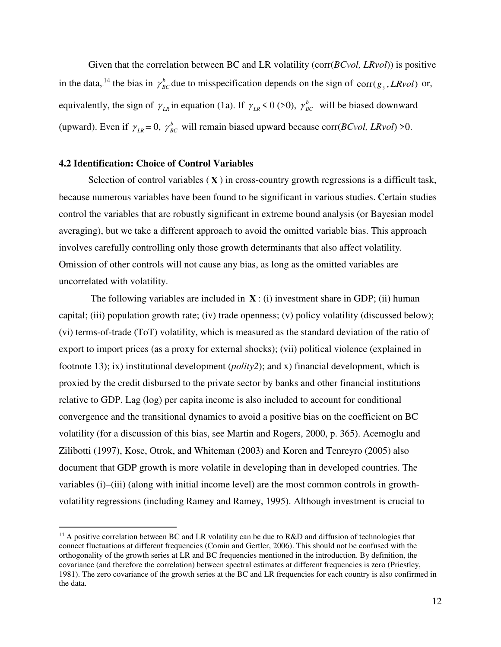Given that the correlation between BC and LR volatility (corr(*BCvol, LRvol*)) is positive in the data, <sup>14</sup> the bias in  $\gamma_{BC}^b$  due to misspecification depends on the sign of corr( $g_y$ , *LRvol*) or, equivalently, the sign of  $\gamma_{LR}$  in equation (1a). If  $\gamma_{LR}$  < 0 (>0),  $\gamma_{BC}^b$  will be biased downward (upward). Even if  $\gamma_{LR} = 0$ ,  $\gamma_{BC}^b$  will remain biased upward because corr(*BCvol*, *LRvol*) >0.

## **4.2 Identification: Choice of Control Variables**

 $\overline{a}$ 

Selection of control variables  $(X)$  in cross-country growth regressions is a difficult task, because numerous variables have been found to be significant in various studies. Certain studies control the variables that are robustly significant in extreme bound analysis (or Bayesian model averaging), but we take a different approach to avoid the omitted variable bias. This approach involves carefully controlling only those growth determinants that also affect volatility. Omission of other controls will not cause any bias, as long as the omitted variables are uncorrelated with volatility.

The following variables are included in  $X$ : (i) investment share in GDP; (ii) human capital; (iii) population growth rate; (iv) trade openness; (v) policy volatility (discussed below); (vi) terms-of-trade (ToT) volatility, which is measured as the standard deviation of the ratio of export to import prices (as a proxy for external shocks); (vii) political violence (explained in footnote 13); ix) institutional development (*polity2*); and x) financial development, which is proxied by the credit disbursed to the private sector by banks and other financial institutions relative to GDP. Lag (log) per capita income is also included to account for conditional convergence and the transitional dynamics to avoid a positive bias on the coefficient on BC volatility (for a discussion of this bias, see Martin and Rogers, 2000, p. 365). Acemoglu and Zilibotti (1997), Kose, Otrok, and Whiteman (2003) and Koren and Tenreyro (2005) also document that GDP growth is more volatile in developing than in developed countries. The variables (i)–(iii) (along with initial income level) are the most common controls in growthvolatility regressions (including Ramey and Ramey, 1995). Although investment is crucial to

 $14$  A positive correlation between BC and LR volatility can be due to R&D and diffusion of technologies that connect fluctuations at different frequencies (Comin and Gertler, 2006). This should not be confused with the orthogonality of the growth series at LR and BC frequencies mentioned in the introduction. By definition, the covariance (and therefore the correlation) between spectral estimates at different frequencies is zero (Priestley, 1981). The zero covariance of the growth series at the BC and LR frequencies for each country is also confirmed in the data.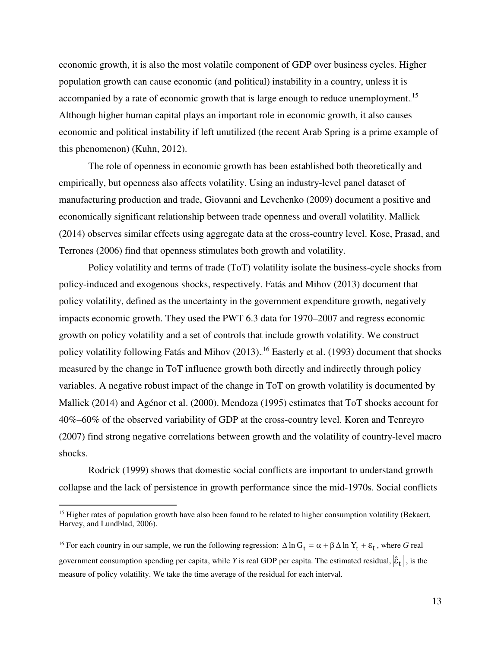economic growth, it is also the most volatile component of GDP over business cycles. Higher population growth can cause economic (and political) instability in a country, unless it is accompanied by a rate of economic growth that is large enough to reduce unemployment.<sup>15</sup> Although higher human capital plays an important role in economic growth, it also causes economic and political instability if left unutilized (the recent Arab Spring is a prime example of this phenomenon) (Kuhn, 2012).

The role of openness in economic growth has been established both theoretically and empirically, but openness also affects volatility. Using an industry-level panel dataset of manufacturing production and trade, Giovanni and Levchenko (2009) document a positive and economically significant relationship between trade openness and overall volatility. Mallick (2014) observes similar effects using aggregate data at the cross-country level. Kose, Prasad, and Terrones (2006) find that openness stimulates both growth and volatility.

Policy volatility and terms of trade (ToT) volatility isolate the business-cycle shocks from policy-induced and exogenous shocks, respectively. Fatás and Mihov (2013) document that policy volatility, defined as the uncertainty in the government expenditure growth, negatively impacts economic growth. They used the PWT 6.3 data for 1970–2007 and regress economic growth on policy volatility and a set of controls that include growth volatility. We construct policy volatility following Fatás and Mihov (2013). <sup>16</sup> Easterly et al. (1993) document that shocks measured by the change in ToT influence growth both directly and indirectly through policy variables. A negative robust impact of the change in ToT on growth volatility is documented by Mallick (2014) and Agénor et al. (2000). Mendoza (1995) estimates that ToT shocks account for 40%–60% of the observed variability of GDP at the cross-country level. Koren and Tenreyro (2007) find strong negative correlations between growth and the volatility of country-level macro shocks.

Rodrick (1999) shows that domestic social conflicts are important to understand growth collapse and the lack of persistence in growth performance since the mid-1970s. Social conflicts

 $\overline{a}$ 

<sup>&</sup>lt;sup>15</sup> Higher rates of population growth have also been found to be related to higher consumption volatility (Bekaert, Harvey, and Lundblad, 2006).

<sup>&</sup>lt;sup>16</sup> For each country in our sample, we run the following regression:  $\Delta \ln G_t = \alpha + \beta \Delta \ln Y_t + \epsilon_t$ , where *G* real government consumption spending per capita, while *Y* is real GDP per capita. The estimated residual,  $|\hat{\epsilon}_t|$ , is the measure of policy volatility. We take the time average of the residual for each interval.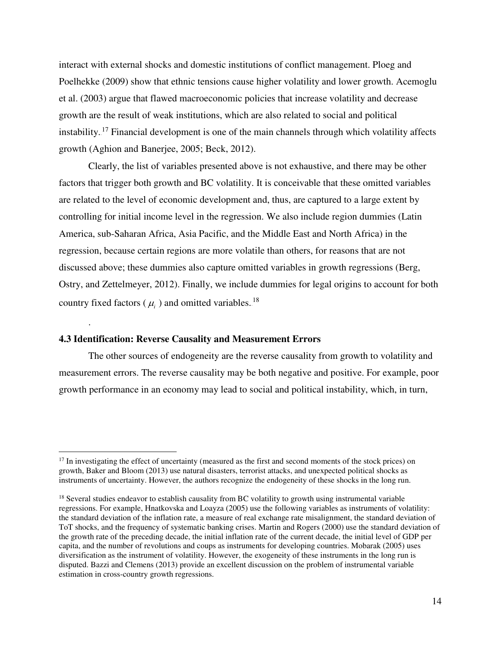interact with external shocks and domestic institutions of conflict management. Ploeg and Poelhekke (2009) show that ethnic tensions cause higher volatility and lower growth. Acemoglu et al. (2003) argue that flawed macroeconomic policies that increase volatility and decrease growth are the result of weak institutions, which are also related to social and political instability.<sup>17</sup> Financial development is one of the main channels through which volatility affects growth (Aghion and Banerjee, 2005; Beck, 2012).

Clearly, the list of variables presented above is not exhaustive, and there may be other factors that trigger both growth and BC volatility. It is conceivable that these omitted variables are related to the level of economic development and, thus, are captured to a large extent by controlling for initial income level in the regression. We also include region dummies (Latin America, sub-Saharan Africa, Asia Pacific, and the Middle East and North Africa) in the regression, because certain regions are more volatile than others, for reasons that are not discussed above; these dummies also capture omitted variables in growth regressions (Berg, Ostry, and Zettelmeyer, 2012). Finally, we include dummies for legal origins to account for both country fixed factors ( $\mu$ <sub>i</sub>) and omitted variables.<sup>18</sup>

## **4.3 Identification: Reverse Causality and Measurement Errors**

.

 $\overline{a}$ 

The other sources of endogeneity are the reverse causality from growth to volatility and measurement errors. The reverse causality may be both negative and positive. For example, poor growth performance in an economy may lead to social and political instability, which, in turn,

 $17$  In investigating the effect of uncertainty (measured as the first and second moments of the stock prices) on growth, Baker and Bloom (2013) use natural disasters, terrorist attacks, and unexpected political shocks as instruments of uncertainty. However, the authors recognize the endogeneity of these shocks in the long run.

<sup>&</sup>lt;sup>18</sup> Several studies endeavor to establish causality from BC volatility to growth using instrumental variable regressions. For example, Hnatkovska and Loayza (2005) use the following variables as instruments of volatility: the standard deviation of the inflation rate, a measure of real exchange rate misalignment, the standard deviation of ToT shocks, and the frequency of systematic banking crises. Martin and Rogers (2000) use the standard deviation of the growth rate of the preceding decade, the initial inflation rate of the current decade, the initial level of GDP per capita, and the number of revolutions and coups as instruments for developing countries. Mobarak (2005) uses diversification as the instrument of volatility. However, the exogeneity of these instruments in the long run is disputed. Bazzi and Clemens (2013) provide an excellent discussion on the problem of instrumental variable estimation in cross-country growth regressions.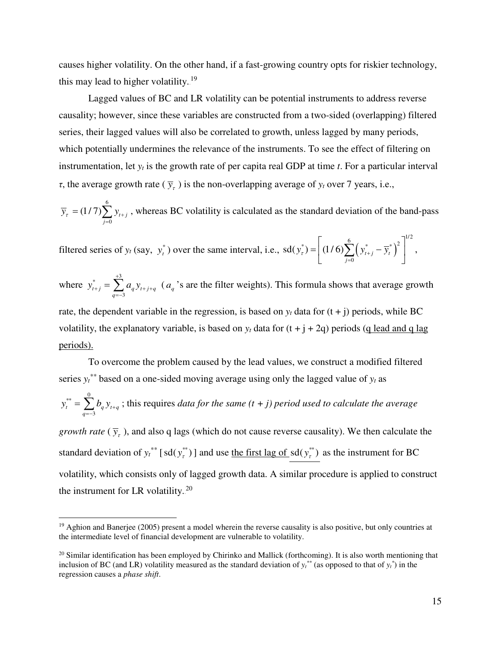causes higher volatility. On the other hand, if a fast-growing country opts for riskier technology, this may lead to higher volatility.<sup>19</sup>

Lagged values of BC and LR volatility can be potential instruments to address reverse causality; however, since these variables are constructed from a two-sided (overlapping) filtered series, their lagged values will also be correlated to growth, unless lagged by many periods, which potentially undermines the relevance of the instruments. To see the effect of filtering on instrumentation, let *y<sup>t</sup>* is the growth rate of per capita real GDP at time *t*. For a particular interval *τ*, the average growth rate ( $\bar{y}_t$ ) is the non-overlapping average of  $y_t$  over 7 years, i.e.,

6 0  $(1/7)\sum y_{t+j}$ *j*  $\overline{y}_r = (1/7) \sum y_{t+1}$  $= (1/7) \sum_{j=0} y_{t+j}$ , whereas BC volatility is calculated as the standard deviation of the band-pass

filtered series of  $y_t$  (say,  $y_t^*$ ) over the same interval, i.e.,  $sd(y_t^*) = |(1/6)\sum_{t}^{s} (y_{t+i}^* - \overline{y}_t^*)^2$  $\left[\begin{matrix} 6 & 11.6 \end{matrix}\right]^{1/2}$ 0  $sd(y_i^*) = | (1/6) \sum (y_{i+j}^* - \overline{y}_i^*)^{\text{T}} | ,$ *j*  $y_i^*$ ) =  $(1/6)\sum_{t+j} (y_{t+j}^* - \overline{y})$ =  $=\left[ (1/6) \sum_{j=0}^{6} (y_{t+j}^{*} - \overline{y}_{t}^{*})^{2} \right]$ 

where  $\sqrt[3]{\phantom{a}}$   $\frac{+3}{\sqrt{3}}$ 3  $u_{t+j}$   $\sum u_q y_{t+j+q}$ *q*  $y_{t+i}^* = \sum a_a y$ +  $_{+j}$  -  $\sum$   $u_q$   $y$ <sub>t+j+</sub>  $=\sum_{q=3}^{\infty} a_q y_{t+j+q}$  ( $a_q$ 's are the filter weights). This formula shows that average growth rate, the dependent variable in the regression, is based on  $v_t$  data for  $(t + i)$  periods, while BC volatility, the explanatory variable, is based on  $y_t$  data for  $(t + j + 2q)$  periods (q lead and q lag periods).

To overcome the problem caused by the lead values, we construct a modified filtered series  $y_t^*$  based on a one-sided moving average using only the lagged value of  $y_t$  as  $\overline{\mathbf{r}}^* = \overline{\mathbf{r}}^0$ 3  $t = \sum_{q} b_q t_{t+q}$ *q*  $y_t^{**} = \sum b_q y_{t+1}$  $=\sum_{q=3}^{8} b_q y_{t+q}$ ; this requires *data for the same (t + j) period used to calculate the average growth rate* ( $\bar{y}_t$ ), and also q lags (which do not cause reverse causality). We then calculate the standard deviation of  $y_t^{**}$  [sd( $y_t^{**}$ )] and use <u>the first lag of</u> sd( $y_t^{**}$ ) as the instrument for BC volatility, which consists only of lagged growth data. A similar procedure is applied to construct the instrument for LR volatility.<sup>20</sup>

<u>.</u>

<sup>&</sup>lt;sup>19</sup> Aghion and Banerjee (2005) present a model wherein the reverse causality is also positive, but only countries at the intermediate level of financial development are vulnerable to volatility.

 $20$  Similar identification has been employed by Chirinko and Mallick (forthcoming). It is also worth mentioning that inclusion of BC (and LR) volatility measured as the standard deviation of  $y_t^{**}$  (as opposed to that of  $y_t^*$ ) in the regression causes a *phase shift*.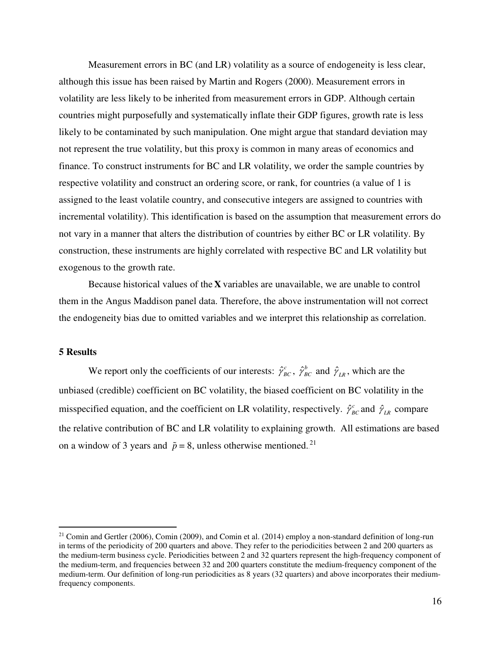Measurement errors in BC (and LR) volatility as a source of endogeneity is less clear, although this issue has been raised by Martin and Rogers (2000). Measurement errors in volatility are less likely to be inherited from measurement errors in GDP. Although certain countries might purposefully and systematically inflate their GDP figures, growth rate is less likely to be contaminated by such manipulation. One might argue that standard deviation may not represent the true volatility, but this proxy is common in many areas of economics and finance. To construct instruments for BC and LR volatility, we order the sample countries by respective volatility and construct an ordering score, or rank, for countries (a value of 1 is assigned to the least volatile country, and consecutive integers are assigned to countries with incremental volatility). This identification is based on the assumption that measurement errors do not vary in a manner that alters the distribution of countries by either BC or LR volatility. By construction, these instruments are highly correlated with respective BC and LR volatility but exogenous to the growth rate.

Because historical values of the **X** variables are unavailable, we are unable to control them in the Angus Maddison panel data. Therefore, the above instrumentation will not correct the endogeneity bias due to omitted variables and we interpret this relationship as correlation.

## **5 Results**

 $\overline{a}$ 

We report only the coefficients of our interests:  $\hat{\gamma}_{BC}^c$ ,  $\hat{\gamma}_{BC}^b$  and  $\hat{\gamma}_{LR}$ , which are the unbiased (credible) coefficient on BC volatility, the biased coefficient on BC volatility in the misspecified equation, and the coefficient on LR volatility, respectively.  $\hat{\gamma}_{BC}^c$  and  $\hat{\gamma}_{LR}$  compare the relative contribution of BC and LR volatility to explaining growth. All estimations are based on a window of 3 years and  $\tilde{p} = 8$ , unless otherwise mentioned.<sup>21</sup>

<sup>&</sup>lt;sup>21</sup> Comin and Gertler (2006), Comin (2009), and Comin et al. (2014) employ a non-standard definition of long-run in terms of the periodicity of 200 quarters and above. They refer to the periodicities between 2 and 200 quarters as the medium-term business cycle. Periodicities between 2 and 32 quarters represent the high-frequency component of the medium-term, and frequencies between 32 and 200 quarters constitute the medium-frequency component of the medium-term. Our definition of long-run periodicities as 8 years (32 quarters) and above incorporates their mediumfrequency components.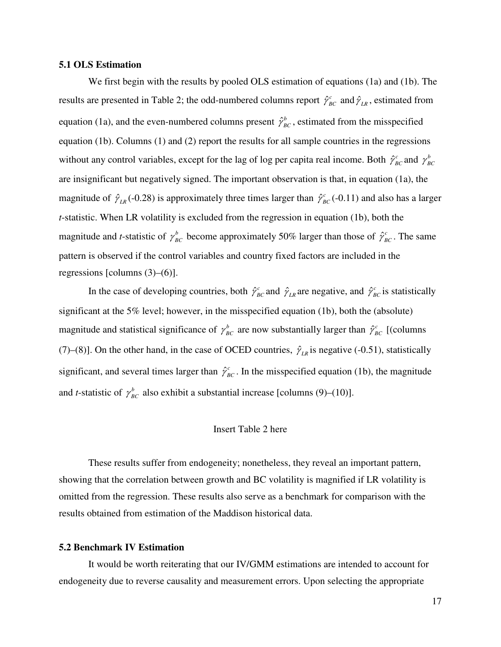## **5.1 OLS Estimation**

We first begin with the results by pooled OLS estimation of equations (1a) and (1b). The results are presented in Table 2; the odd-numbered columns report  $\hat{\gamma}_{BC}^c$  and  $\hat{\gamma}_{LR}$ , estimated from equation (1a), and the even-numbered columns present  $\hat{\gamma}_{BC}^b$ , estimated from the misspecified equation (1b). Columns (1) and (2) report the results for all sample countries in the regressions without any control variables, except for the lag of log per capita real income. Both  $\hat{\gamma}_{BC}^c$  and  $\gamma_{BC}^b$ are insignificant but negatively signed. The important observation is that, in equation (1a), the magnitude of  $\hat{\gamma}_{LR}$  (-0.28) is approximately three times larger than  $\hat{\gamma}_{BC}^c$  (-0.11) and also has a larger *t*-statistic. When LR volatility is excluded from the regression in equation (1b), both the magnitude and *t*-statistic of  $\gamma_{BC}^b$  become approximately 50% larger than those of  $\hat{\gamma}_{BC}^c$ . The same pattern is observed if the control variables and country fixed factors are included in the regressions [columns (3)–(6)].

In the case of developing countries, both  $\hat{\gamma}_{BC}^c$  and  $\hat{\gamma}_{LR}^c$  are negative, and  $\hat{\gamma}_{BC}^c$  is statistically significant at the 5% level; however, in the misspecified equation (1b), both the (absolute) magnitude and statistical significance of  $\gamma_{BC}^b$  are now substantially larger than  $\hat{\gamma}_{BC}^c$  [(columns (7)–(8)]. On the other hand, in the case of OCED countries,  $\hat{\gamma}_{LR}$  is negative (-0.51), statistically significant, and several times larger than  $\hat{\gamma}_{BC}^c$ . In the misspecified equation (1b), the magnitude and *t*-statistic of  $\gamma_{BC}^b$  also exhibit a substantial increase [columns (9)–(10)].

## Insert Table 2 here

 These results suffer from endogeneity; nonetheless, they reveal an important pattern, showing that the correlation between growth and BC volatility is magnified if LR volatility is omitted from the regression. These results also serve as a benchmark for comparison with the results obtained from estimation of the Maddison historical data.

## **5.2 Benchmark IV Estimation**

It would be worth reiterating that our IV/GMM estimations are intended to account for endogeneity due to reverse causality and measurement errors. Upon selecting the appropriate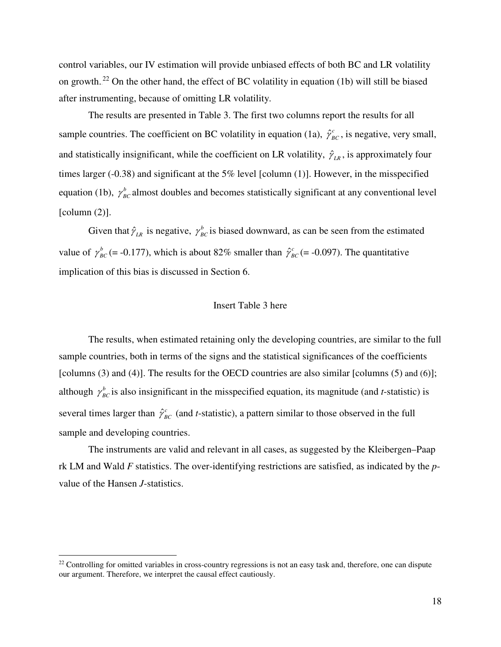control variables, our IV estimation will provide unbiased effects of both BC and LR volatility on growth.<sup>22</sup> On the other hand, the effect of BC volatility in equation (1b) will still be biased after instrumenting, because of omitting LR volatility.

The results are presented in Table 3. The first two columns report the results for all sample countries. The coefficient on BC volatility in equation (1a),  $\hat{\gamma}_{BC}^c$ , is negative, very small, and statistically insignificant, while the coefficient on LR volatility,  $\hat{\gamma}_{LR}$ , is approximately four times larger (-0.38) and significant at the 5% level [column (1)]. However, in the misspecified equation (1b),  $\gamma_{BC}^b$  almost doubles and becomes statistically significant at any conventional level  $[column (2)].$ 

Given that  $\hat{\gamma}_{LR}$  is negative,  $\gamma_{BC}^b$  is biased downward, as can be seen from the estimated value of  $\gamma_{BC}^b$  (= -0.177), which is about 82% smaller than  $\hat{\gamma}_{BC}^c$  (= -0.097). The quantitative implication of this bias is discussed in Section 6.

## Insert Table 3 here

The results, when estimated retaining only the developing countries, are similar to the full sample countries, both in terms of the signs and the statistical significances of the coefficients [columns (3) and (4)]. The results for the OECD countries are also similar [columns (5) and (6)]; although  $\gamma_{BC}^b$  is also insignificant in the misspecified equation, its magnitude (and *t*-statistic) is several times larger than  $\hat{\gamma}_{BC}^c$  (and *t*-statistic), a pattern similar to those observed in the full sample and developing countries.

The instruments are valid and relevant in all cases, as suggested by the Kleibergen–Paap rk LM and Wald *F* statistics. The over-identifying restrictions are satisfied, as indicated by the *p*value of the Hansen *J*-statistics.

<u>.</u>

 $22$  Controlling for omitted variables in cross-country regressions is not an easy task and, therefore, one can dispute our argument. Therefore, we interpret the causal effect cautiously.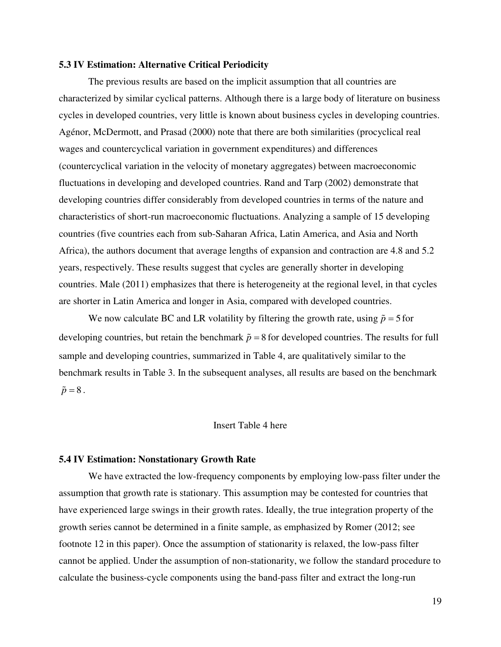## **5.3 IV Estimation: Alternative Critical Periodicity**

The previous results are based on the implicit assumption that all countries are characterized by similar cyclical patterns. Although there is a large body of literature on business cycles in developed countries, very little is known about business cycles in developing countries. Agénor, McDermott, and Prasad (2000) note that there are both similarities (procyclical real wages and countercyclical variation in government expenditures) and differences (countercyclical variation in the velocity of monetary aggregates) between macroeconomic fluctuations in developing and developed countries. Rand and Tarp (2002) demonstrate that developing countries differ considerably from developed countries in terms of the nature and characteristics of short-run macroeconomic fluctuations. Analyzing a sample of 15 developing countries (five countries each from sub-Saharan Africa, Latin America, and Asia and North Africa), the authors document that average lengths of expansion and contraction are 4.8 and 5.2 years, respectively. These results suggest that cycles are generally shorter in developing countries. Male (2011) emphasizes that there is heterogeneity at the regional level, in that cycles are shorter in Latin America and longer in Asia, compared with developed countries.

We now calculate BC and LR volatility by filtering the growth rate, using  $\tilde{p} = 5$  for developing countries, but retain the benchmark  $\tilde{p} = 8$  for developed countries. The results for full sample and developing countries, summarized in Table 4, are qualitatively similar to the benchmark results in Table 3. In the subsequent analyses, all results are based on the benchmark  $\tilde{p} = 8$ .

## Insert Table 4 here

#### **5.4 IV Estimation: Nonstationary Growth Rate**

We have extracted the low-frequency components by employing low-pass filter under the assumption that growth rate is stationary. This assumption may be contested for countries that have experienced large swings in their growth rates. Ideally, the true integration property of the growth series cannot be determined in a finite sample, as emphasized by Romer (2012; see footnote 12 in this paper). Once the assumption of stationarity is relaxed, the low-pass filter cannot be applied. Under the assumption of non-stationarity, we follow the standard procedure to calculate the business-cycle components using the band-pass filter and extract the long-run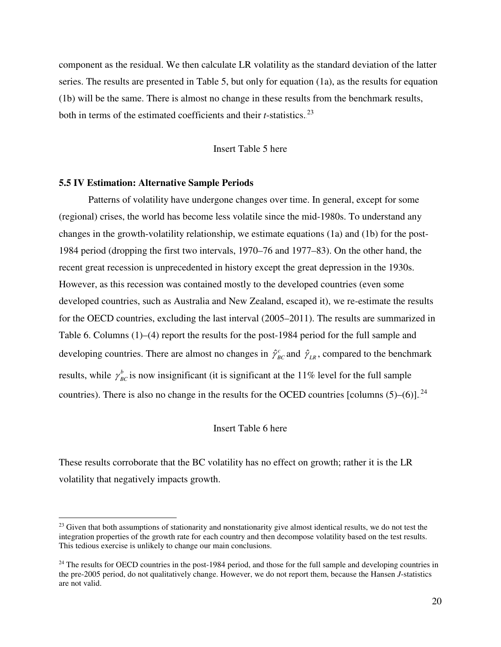component as the residual. We then calculate LR volatility as the standard deviation of the latter series. The results are presented in Table 5, but only for equation (1a), as the results for equation (1b) will be the same. There is almost no change in these results from the benchmark results, both in terms of the estimated coefficients and their  $t$ -statistics.<sup>23</sup>

## Insert Table 5 here

## **5.5 IV Estimation: Alternative Sample Periods**

 $\overline{a}$ 

Patterns of volatility have undergone changes over time. In general, except for some (regional) crises, the world has become less volatile since the mid-1980s. To understand any changes in the growth-volatility relationship, we estimate equations (1a) and (1b) for the post-1984 period (dropping the first two intervals, 1970–76 and 1977–83). On the other hand, the recent great recession is unprecedented in history except the great depression in the 1930s. However, as this recession was contained mostly to the developed countries (even some developed countries, such as Australia and New Zealand, escaped it), we re-estimate the results for the OECD countries, excluding the last interval (2005–2011). The results are summarized in Table 6. Columns (1)–(4) report the results for the post-1984 period for the full sample and developing countries. There are almost no changes in  $\hat{\gamma}_{BC}^c$  and  $\hat{\gamma}_{LR}$ , compared to the benchmark results, while  $\gamma_{BC}^b$  is now insignificant (it is significant at the 11% level for the full sample countries). There is also no change in the results for the OCED countries [columns  $(5)-(6)$ ].<sup>24</sup>

## Insert Table 6 here

These results corroborate that the BC volatility has no effect on growth; rather it is the LR volatility that negatively impacts growth.

<sup>&</sup>lt;sup>23</sup> Given that both assumptions of stationarity and nonstationarity give almost identical results, we do not test the integration properties of the growth rate for each country and then decompose volatility based on the test results. This tedious exercise is unlikely to change our main conclusions.

 $24$  The results for OECD countries in the post-1984 period, and those for the full sample and developing countries in the pre-2005 period, do not qualitatively change. However, we do not report them, because the Hansen *J*-statistics are not valid.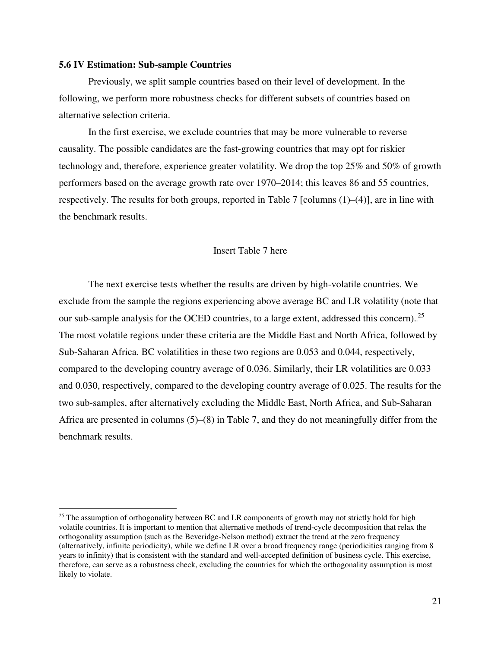## **5.6 IV Estimation: Sub-sample Countries**

 $\overline{a}$ 

 Previously, we split sample countries based on their level of development. In the following, we perform more robustness checks for different subsets of countries based on alternative selection criteria.

In the first exercise, we exclude countries that may be more vulnerable to reverse causality. The possible candidates are the fast-growing countries that may opt for riskier technology and, therefore, experience greater volatility. We drop the top 25% and 50% of growth performers based on the average growth rate over 1970–2014; this leaves 86 and 55 countries, respectively. The results for both groups, reported in Table 7 [columns (1)–(4)], are in line with the benchmark results.

## Insert Table 7 here

The next exercise tests whether the results are driven by high-volatile countries. We exclude from the sample the regions experiencing above average BC and LR volatility (note that our sub-sample analysis for the OCED countries, to a large extent, addressed this concern).<sup>25</sup> The most volatile regions under these criteria are the Middle East and North Africa, followed by Sub-Saharan Africa. BC volatilities in these two regions are 0.053 and 0.044, respectively, compared to the developing country average of 0.036. Similarly, their LR volatilities are 0.033 and 0.030, respectively, compared to the developing country average of 0.025. The results for the two sub-samples, after alternatively excluding the Middle East, North Africa, and Sub-Saharan Africa are presented in columns (5)–(8) in Table 7, and they do not meaningfully differ from the benchmark results.

<sup>&</sup>lt;sup>25</sup> The assumption of orthogonality between BC and LR components of growth may not strictly hold for high volatile countries. It is important to mention that alternative methods of trend-cycle decomposition that relax the orthogonality assumption (such as the Beveridge-Nelson method) extract the trend at the zero frequency (alternatively, infinite periodicity), while we define LR over a broad frequency range (periodicities ranging from 8 years to infinity) that is consistent with the standard and well-accepted definition of business cycle. This exercise, therefore, can serve as a robustness check, excluding the countries for which the orthogonality assumption is most likely to violate.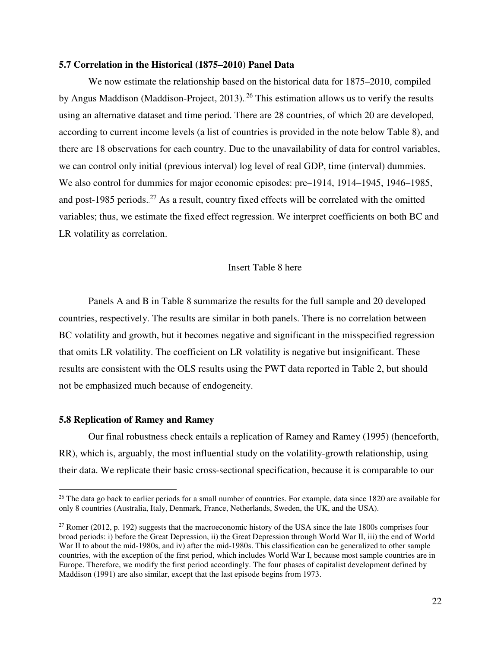## **5.7 Correlation in the Historical (1875–2010) Panel Data**

We now estimate the relationship based on the historical data for 1875–2010, compiled by Angus Maddison (Maddison-Project, 2013).<sup>26</sup> This estimation allows us to verify the results using an alternative dataset and time period. There are 28 countries, of which 20 are developed, according to current income levels (a list of countries is provided in the note below Table 8), and there are 18 observations for each country. Due to the unavailability of data for control variables, we can control only initial (previous interval) log level of real GDP, time (interval) dummies. We also control for dummies for major economic episodes: pre–1914, 1914–1945, 1946–1985, and post-1985 periods.<sup>27</sup> As a result, country fixed effects will be correlated with the omitted variables; thus, we estimate the fixed effect regression. We interpret coefficients on both BC and LR volatility as correlation.

## Insert Table 8 here

Panels A and B in Table 8 summarize the results for the full sample and 20 developed countries, respectively. The results are similar in both panels. There is no correlation between BC volatility and growth, but it becomes negative and significant in the misspecified regression that omits LR volatility. The coefficient on LR volatility is negative but insignificant. These results are consistent with the OLS results using the PWT data reported in Table 2, but should not be emphasized much because of endogeneity.

## **5.8 Replication of Ramey and Ramey**

 $\overline{a}$ 

Our final robustness check entails a replication of Ramey and Ramey (1995) (henceforth, RR), which is, arguably, the most influential study on the volatility-growth relationship, using their data. We replicate their basic cross-sectional specification, because it is comparable to our

<sup>&</sup>lt;sup>26</sup> The data go back to earlier periods for a small number of countries. For example, data since 1820 are available for only 8 countries (Australia, Italy, Denmark, France, Netherlands, Sweden, the UK, and the USA).

<sup>&</sup>lt;sup>27</sup> Romer (2012, p. 192) suggests that the macroeconomic history of the USA since the late 1800s comprises four broad periods: i) before the Great Depression, ii) the Great Depression through World War II, iii) the end of World War II to about the mid-1980s, and iv) after the mid-1980s. This classification can be generalized to other sample countries, with the exception of the first period, which includes World War I, because most sample countries are in Europe. Therefore, we modify the first period accordingly. The four phases of capitalist development defined by Maddison (1991) are also similar, except that the last episode begins from 1973.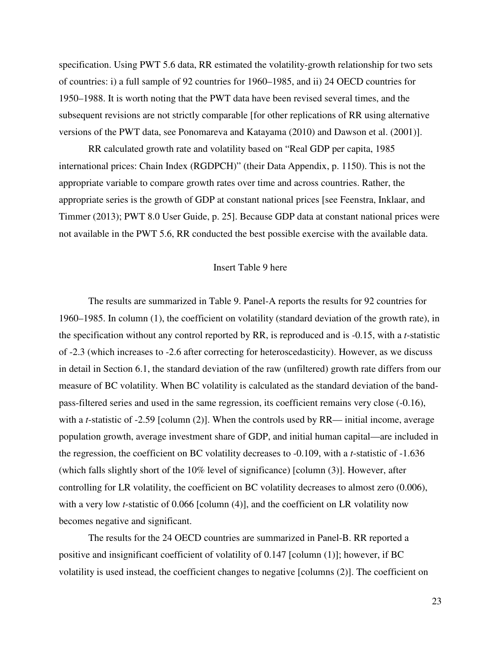specification. Using PWT 5.6 data, RR estimated the volatility-growth relationship for two sets of countries: i) a full sample of 92 countries for 1960–1985, and ii) 24 OECD countries for 1950–1988. It is worth noting that the PWT data have been revised several times, and the subsequent revisions are not strictly comparable [for other replications of RR using alternative versions of the PWT data, see Ponomareva and Katayama (2010) and Dawson et al. (2001)].

RR calculated growth rate and volatility based on "Real GDP per capita, 1985 international prices: Chain Index (RGDPCH)" (their Data Appendix, p. 1150). This is not the appropriate variable to compare growth rates over time and across countries. Rather, the appropriate series is the growth of GDP at constant national prices [see Feenstra, Inklaar, and Timmer (2013); PWT 8.0 User Guide, p. 25]. Because GDP data at constant national prices were not available in the PWT 5.6, RR conducted the best possible exercise with the available data.

## Insert Table 9 here

The results are summarized in Table 9. Panel-A reports the results for 92 countries for 1960–1985. In column (1), the coefficient on volatility (standard deviation of the growth rate), in the specification without any control reported by RR, is reproduced and is -0.15, with a *t*-statistic of -2.3 (which increases to -2.6 after correcting for heteroscedasticity). However, as we discuss in detail in Section 6.1, the standard deviation of the raw (unfiltered) growth rate differs from our measure of BC volatility. When BC volatility is calculated as the standard deviation of the bandpass-filtered series and used in the same regression, its coefficient remains very close (-0.16), with a *t*-statistic of -2.59 [column (2)]. When the controls used by RR— initial income, average population growth, average investment share of GDP, and initial human capital—are included in the regression, the coefficient on BC volatility decreases to -0.109, with a *t*-statistic of -1.636 (which falls slightly short of the 10% level of significance) [column (3)]. However, after controlling for LR volatility, the coefficient on BC volatility decreases to almost zero (0.006), with a very low *t*-statistic of 0.066 [column (4)], and the coefficient on LR volatility now becomes negative and significant.

 The results for the 24 OECD countries are summarized in Panel-B. RR reported a positive and insignificant coefficient of volatility of 0.147 [column (1)]; however, if BC volatility is used instead, the coefficient changes to negative [columns (2)]. The coefficient on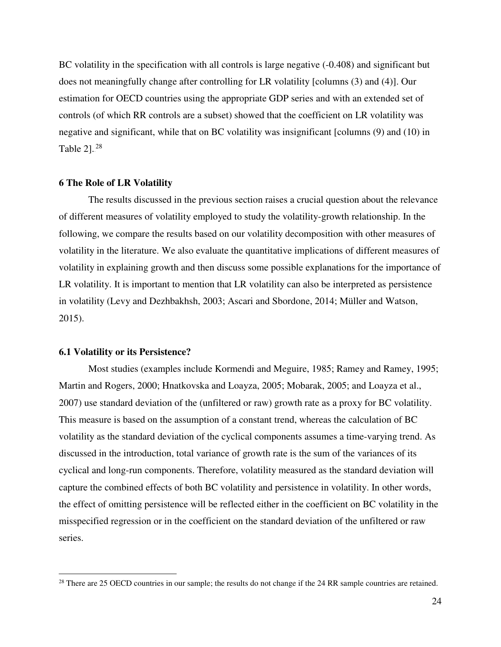BC volatility in the specification with all controls is large negative  $(-0.408)$  and significant but does not meaningfully change after controlling for LR volatility [columns (3) and (4)]. Our estimation for OECD countries using the appropriate GDP series and with an extended set of controls (of which RR controls are a subset) showed that the coefficient on LR volatility was negative and significant, while that on BC volatility was insignificant [columns (9) and (10) in Table  $2$ ].<sup>28</sup>

#### **6 The Role of LR Volatility**

The results discussed in the previous section raises a crucial question about the relevance of different measures of volatility employed to study the volatility-growth relationship. In the following, we compare the results based on our volatility decomposition with other measures of volatility in the literature. We also evaluate the quantitative implications of different measures of volatility in explaining growth and then discuss some possible explanations for the importance of LR volatility. It is important to mention that LR volatility can also be interpreted as persistence in volatility (Levy and Dezhbakhsh, 2003; Ascari and Sbordone, 2014; Müller and Watson, 2015).

## **6.1 Volatility or its Persistence?**

<u>.</u>

Most studies (examples include Kormendi and Meguire, 1985; Ramey and Ramey, 1995; Martin and Rogers, 2000; Hnatkovska and Loayza, 2005; Mobarak, 2005; and Loayza et al., 2007) use standard deviation of the (unfiltered or raw) growth rate as a proxy for BC volatility. This measure is based on the assumption of a constant trend, whereas the calculation of BC volatility as the standard deviation of the cyclical components assumes a time-varying trend. As discussed in the introduction, total variance of growth rate is the sum of the variances of its cyclical and long-run components. Therefore, volatility measured as the standard deviation will capture the combined effects of both BC volatility and persistence in volatility. In other words, the effect of omitting persistence will be reflected either in the coefficient on BC volatility in the misspecified regression or in the coefficient on the standard deviation of the unfiltered or raw series.

<sup>&</sup>lt;sup>28</sup> There are 25 OECD countries in our sample; the results do not change if the 24 RR sample countries are retained.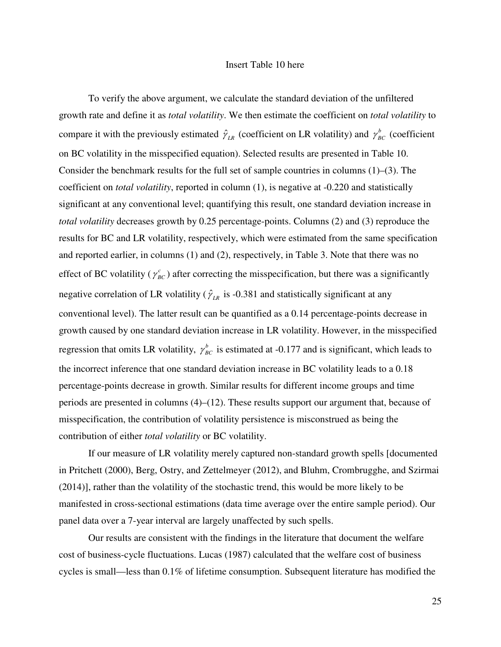## Insert Table 10 here

To verify the above argument, we calculate the standard deviation of the unfiltered growth rate and define it as *total volatility*. We then estimate the coefficient on *total volatility* to compare it with the previously estimated  $\hat{\gamma}_{LR}$  (coefficient on LR volatility) and  $\gamma_{BC}^b$  (coefficient on BC volatility in the misspecified equation). Selected results are presented in Table 10. Consider the benchmark results for the full set of sample countries in columns (1)–(3). The coefficient on *total volatility*, reported in column (1), is negative at -0.220 and statistically significant at any conventional level; quantifying this result, one standard deviation increase in *total volatility* decreases growth by 0.25 percentage-points. Columns (2) and (3) reproduce the results for BC and LR volatility, respectively, which were estimated from the same specification and reported earlier, in columns (1) and (2), respectively, in Table 3. Note that there was no effect of BC volatility ( $\gamma_{BC}^c$ ) after correcting the misspecification, but there was a significantly negative correlation of LR volatility ( $\hat{\gamma}_{LR}$  is -0.381 and statistically significant at any conventional level). The latter result can be quantified as a 0.14 percentage-points decrease in growth caused by one standard deviation increase in LR volatility. However, in the misspecified regression that omits LR volatility,  $\gamma_{BC}^b$  is estimated at -0.177 and is significant, which leads to the incorrect inference that one standard deviation increase in BC volatility leads to a 0.18 percentage-points decrease in growth. Similar results for different income groups and time periods are presented in columns (4)–(12). These results support our argument that, because of misspecification, the contribution of volatility persistence is misconstrued as being the contribution of either *total volatility* or BC volatility.

If our measure of LR volatility merely captured non-standard growth spells [documented in Pritchett (2000), Berg, Ostry, and Zettelmeyer (2012), and Bluhm, Crombrugghe, and Szirmai (2014)], rather than the volatility of the stochastic trend, this would be more likely to be manifested in cross-sectional estimations (data time average over the entire sample period). Our panel data over a 7-year interval are largely unaffected by such spells.

Our results are consistent with the findings in the literature that document the welfare cost of business-cycle fluctuations. Lucas (1987) calculated that the welfare cost of business cycles is small—less than 0.1% of lifetime consumption. Subsequent literature has modified the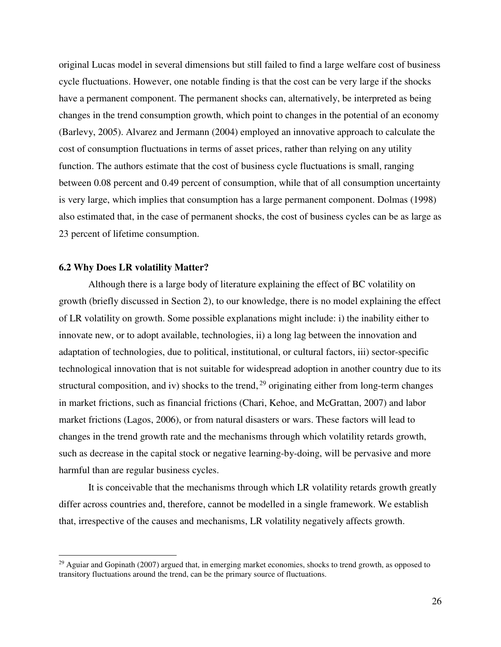original Lucas model in several dimensions but still failed to find a large welfare cost of business cycle fluctuations. However, one notable finding is that the cost can be very large if the shocks have a permanent component. The permanent shocks can, alternatively, be interpreted as being changes in the trend consumption growth, which point to changes in the potential of an economy (Barlevy, 2005). Alvarez and Jermann (2004) employed an innovative approach to calculate the cost of consumption fluctuations in terms of asset prices, rather than relying on any utility function. The authors estimate that the cost of business cycle fluctuations is small, ranging between 0.08 percent and 0.49 percent of consumption, while that of all consumption uncertainty is very large, which implies that consumption has a large permanent component. Dolmas (1998) also estimated that, in the case of permanent shocks, the cost of business cycles can be as large as 23 percent of lifetime consumption.

## **6.2 Why Does LR volatility Matter?**

 $\overline{a}$ 

Although there is a large body of literature explaining the effect of BC volatility on growth (briefly discussed in Section 2), to our knowledge, there is no model explaining the effect of LR volatility on growth. Some possible explanations might include: i) the inability either to innovate new, or to adopt available, technologies, ii) a long lag between the innovation and adaptation of technologies, due to political, institutional, or cultural factors, iii) sector-specific technological innovation that is not suitable for widespread adoption in another country due to its structural composition, and iv) shocks to the trend,  $^{29}$  originating either from long-term changes in market frictions, such as financial frictions (Chari, Kehoe, and McGrattan, 2007) and labor market frictions (Lagos, 2006), or from natural disasters or wars. These factors will lead to changes in the trend growth rate and the mechanisms through which volatility retards growth, such as decrease in the capital stock or negative learning-by-doing, will be pervasive and more harmful than are regular business cycles.

It is conceivable that the mechanisms through which LR volatility retards growth greatly differ across countries and, therefore, cannot be modelled in a single framework. We establish that, irrespective of the causes and mechanisms, LR volatility negatively affects growth.

 $^{29}$  Aguiar and Gopinath (2007) argued that, in emerging market economies, shocks to trend growth, as opposed to transitory fluctuations around the trend, can be the primary source of fluctuations.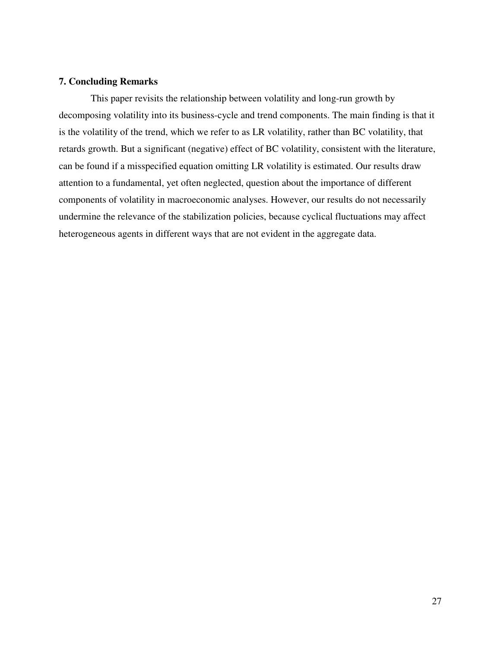## **7. Concluding Remarks**

 This paper revisits the relationship between volatility and long-run growth by decomposing volatility into its business-cycle and trend components. The main finding is that it is the volatility of the trend, which we refer to as LR volatility, rather than BC volatility, that retards growth. But a significant (negative) effect of BC volatility, consistent with the literature, can be found if a misspecified equation omitting LR volatility is estimated. Our results draw attention to a fundamental, yet often neglected, question about the importance of different components of volatility in macroeconomic analyses. However, our results do not necessarily undermine the relevance of the stabilization policies, because cyclical fluctuations may affect heterogeneous agents in different ways that are not evident in the aggregate data.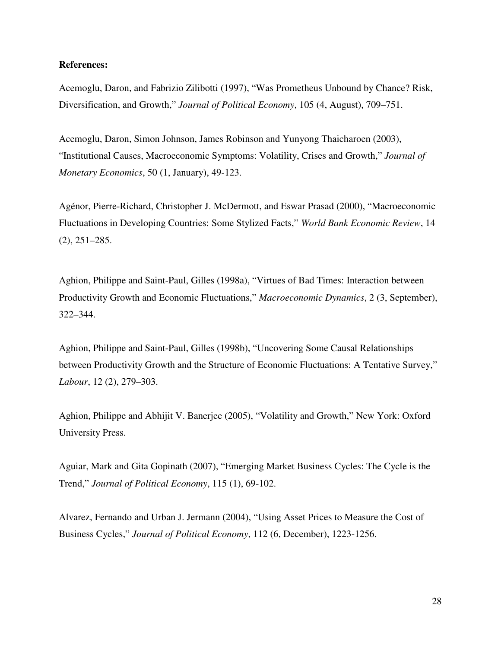## **References:**

Acemoglu, Daron, and Fabrizio Zilibotti (1997), "Was Prometheus Unbound by Chance? Risk, Diversification, and Growth," *Journal of Political Economy*, 105 (4, August), 709–751.

Acemoglu, Daron, Simon Johnson, James Robinson and Yunyong Thaicharoen (2003), "Institutional Causes, Macroeconomic Symptoms: Volatility, Crises and Growth," *Journal of Monetary Economics*, 50 (1, January), 49-123.

Agénor, Pierre-Richard, Christopher J. McDermott, and Eswar Prasad (2000), "Macroeconomic Fluctuations in Developing Countries: Some Stylized Facts," *World Bank Economic Review*, 14 (2), 251–285.

Aghion, Philippe and Saint-Paul, Gilles (1998a), "Virtues of Bad Times: Interaction between Productivity Growth and Economic Fluctuations," *Macroeconomic Dynamics*, 2 (3, September), 322–344.

Aghion, Philippe and Saint-Paul, Gilles (1998b), "Uncovering Some Causal Relationships between Productivity Growth and the Structure of Economic Fluctuations: A Tentative Survey," *Labour*, 12 (2), 279–303.

Aghion, Philippe and Abhijit V. Banerjee (2005), "Volatility and Growth," New York: Oxford University Press.

Aguiar, Mark and Gita Gopinath (2007), "Emerging Market Business Cycles: The Cycle is the Trend," *Journal of Political Economy*, 115 (1), 69-102.

Alvarez, Fernando and Urban J. Jermann (2004), "Using Asset Prices to Measure the Cost of Business Cycles," *Journal of Political Economy*, 112 (6, December), 1223-1256.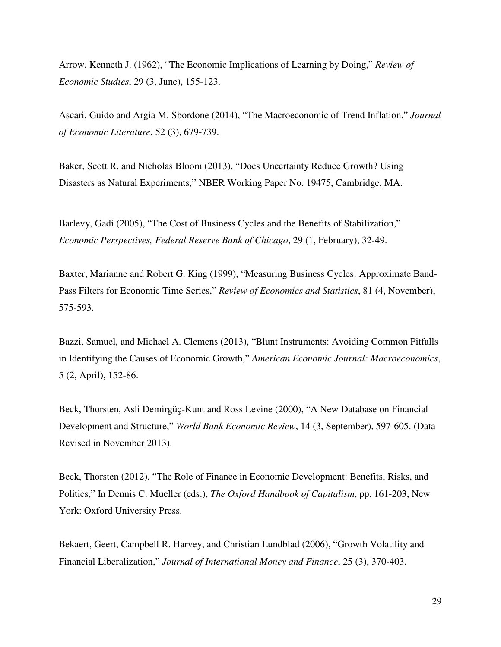Arrow, Kenneth J. (1962), "The Economic Implications of Learning by Doing," *Review of Economic Studies*, 29 (3, June), 155-123.

Ascari, Guido and Argia M. Sbordone (2014), "The Macroeconomic of Trend Inflation," *Journal of Economic Literature*, 52 (3), 679-739.

Baker, Scott R. and Nicholas Bloom (2013), "Does Uncertainty Reduce Growth? Using Disasters as Natural Experiments," NBER Working Paper No. 19475, Cambridge, MA.

Barlevy, Gadi (2005), "The Cost of Business Cycles and the Benefits of Stabilization," *Economic Perspectives, Federal Reserve Bank of Chicago*, 29 (1, February), 32-49.

Baxter, Marianne and Robert G. King (1999), "Measuring Business Cycles: Approximate Band-Pass Filters for Economic Time Series," *Review of Economics and Statistics*, 81 (4, November), 575-593.

Bazzi, Samuel, and Michael A. Clemens (2013), "Blunt Instruments: Avoiding Common Pitfalls in Identifying the Causes of Economic Growth," *American Economic Journal: Macroeconomics*, 5 (2, April), 152-86.

Beck, Thorsten, Asli Demirgüç-Kunt and Ross Levine (2000), "A New Database on Financial Development and Structure," *World Bank Economic Review*, 14 (3, September), 597-605. (Data Revised in November 2013).

Beck, Thorsten (2012), "The Role of Finance in Economic Development: Benefits, Risks, and Politics," In Dennis C. Mueller (eds.), *The Oxford Handbook of Capitalism*, pp. 161-203, New York: Oxford University Press.

Bekaert, Geert, Campbell R. Harvey, and Christian Lundblad (2006), "Growth Volatility and Financial Liberalization," *Journal of International Money and Finance*, 25 (3), 370-403.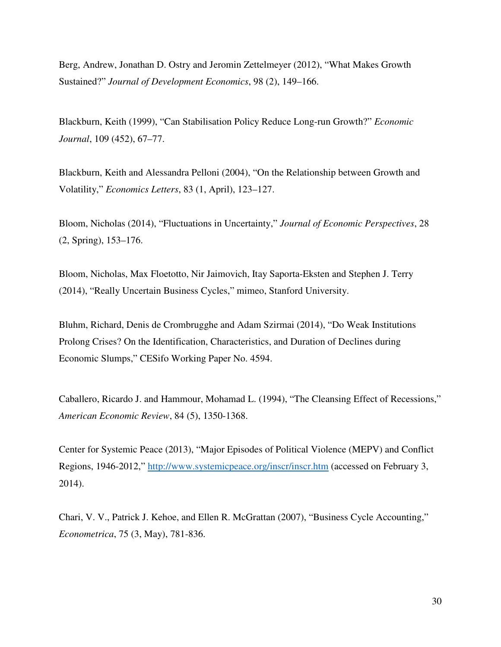Berg, Andrew, Jonathan D. Ostry and Jeromin Zettelmeyer (2012), "What Makes Growth Sustained?" *Journal of Development Economics*, 98 (2), 149–166.

Blackburn, Keith (1999), "Can Stabilisation Policy Reduce Long-run Growth?" *Economic Journal*, 109 (452), 67–77.

Blackburn, Keith and Alessandra Pelloni (2004), "On the Relationship between Growth and Volatility," *Economics Letters*, 83 (1, April), 123–127.

Bloom, Nicholas (2014), "Fluctuations in Uncertainty," *Journal of Economic Perspectives*, 28 (2, Spring), 153–176.

Bloom, Nicholas, Max Floetotto, Nir Jaimovich, Itay Saporta-Eksten and Stephen J. Terry (2014), "Really Uncertain Business Cycles," mimeo, Stanford University.

Bluhm, Richard, Denis de Crombrugghe and Adam Szirmai (2014), "Do Weak Institutions Prolong Crises? On the Identification, Characteristics, and Duration of Declines during Economic Slumps," CESifo Working Paper No. 4594.

Caballero, Ricardo J. and Hammour, Mohamad L. (1994), "The Cleansing Effect of Recessions," *American Economic Review*, 84 (5), 1350-1368.

Center for Systemic Peace (2013), "Major Episodes of Political Violence (MEPV) and Conflict Regions, 1946-2012," http://www.systemicpeace.org/inscr/inscr.htm (accessed on February 3, 2014).

Chari, V. V., Patrick J. Kehoe, and Ellen R. McGrattan (2007), "Business Cycle Accounting," *Econometrica*, 75 (3, May), 781-836.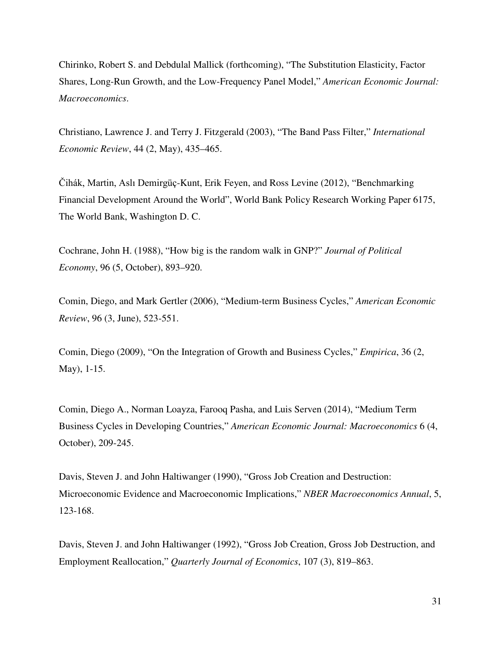Chirinko, Robert S. and Debdulal Mallick (forthcoming), "The Substitution Elasticity, Factor Shares, Long-Run Growth, and the Low-Frequency Panel Model," *American Economic Journal: Macroeconomics*.

Christiano, Lawrence J. and Terry J. Fitzgerald (2003), "The Band Pass Filter," *International Economic Review*, 44 (2, May), 435–465.

Čihák, Martin, Aslı Demirgüç-Kunt, Erik Feyen, and Ross Levine (2012), "Benchmarking Financial Development Around the World", World Bank Policy Research Working Paper 6175, The World Bank, Washington D. C.

Cochrane, John H. (1988), "How big is the random walk in GNP?" *Journal of Political Economy*, 96 (5, October), 893–920.

Comin, Diego, and Mark Gertler (2006), "Medium-term Business Cycles," *American Economic Review*, 96 (3, June), 523-551.

Comin, Diego (2009), "On the Integration of Growth and Business Cycles," *Empirica*, 36 (2, May), 1-15.

Comin, Diego A., Norman Loayza, Farooq Pasha, and Luis Serven (2014), "Medium Term Business Cycles in Developing Countries," *American Economic Journal: Macroeconomics* 6 (4, October), 209-245.

Davis, Steven J. and John Haltiwanger (1990), "Gross Job Creation and Destruction: Microeconomic Evidence and Macroeconomic Implications," *NBER Macroeconomics Annual*, 5, 123-168.

Davis, Steven J. and John Haltiwanger (1992), "Gross Job Creation, Gross Job Destruction, and Employment Reallocation," *Quarterly Journal of Economics*, 107 (3), 819–863.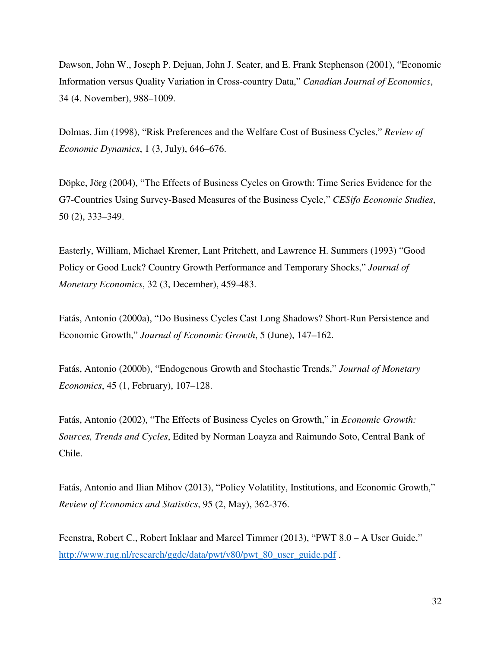Dawson, John W., Joseph P. Dejuan, John J. Seater, and E. Frank Stephenson (2001), "Economic Information versus Quality Variation in Cross-country Data," *Canadian Journal of Economics*, 34 (4. November), 988–1009.

Dolmas, Jim (1998), "Risk Preferences and the Welfare Cost of Business Cycles," *Review of Economic Dynamics*, 1 (3, July), 646–676.

Döpke, Jörg (2004), "The Effects of Business Cycles on Growth: Time Series Evidence for the G7-Countries Using Survey-Based Measures of the Business Cycle," *CESifo Economic Studies*, 50 (2), 333–349.

Easterly, William, Michael Kremer, Lant Pritchett, and Lawrence H. Summers (1993) "Good Policy or Good Luck? Country Growth Performance and Temporary Shocks," *Journal of Monetary Economics*, 32 (3, December), 459-483.

Fatás, Antonio (2000a), "Do Business Cycles Cast Long Shadows? Short-Run Persistence and Economic Growth," *Journal of Economic Growth*, 5 (June), 147–162.

Fatás, Antonio (2000b), "Endogenous Growth and Stochastic Trends," *Journal of Monetary Economics*, 45 (1, February), 107–128.

Fatás, Antonio (2002), "The Effects of Business Cycles on Growth," in *Economic Growth: Sources, Trends and Cycles*, Edited by Norman Loayza and Raimundo Soto, Central Bank of Chile.

Fatás, Antonio and Ilian Mihov (2013), "Policy Volatility, Institutions, and Economic Growth," *Review of Economics and Statistics*, 95 (2, May), 362-376.

Feenstra, Robert C., Robert Inklaar and Marcel Timmer (2013), "PWT 8.0 – A User Guide," http://www.rug.nl/research/ggdc/data/pwt/v80/pwt\_80\_user\_guide.pdf.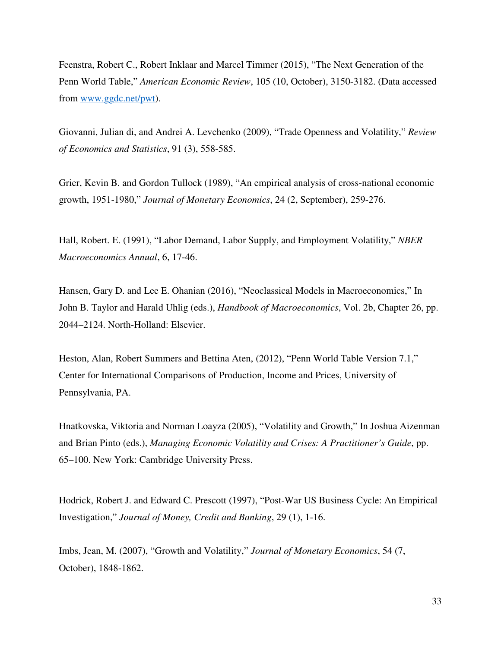Feenstra, Robert C., Robert Inklaar and Marcel Timmer (2015), "The Next Generation of the Penn World Table," *American Economic Review*, 105 (10, October), 3150-3182. (Data accessed from www.ggdc.net/pwt).

Giovanni, Julian di, and Andrei A. Levchenko (2009), "Trade Openness and Volatility," *Review of Economics and Statistics*, 91 (3), 558-585.

Grier, Kevin B. and Gordon Tullock (1989), "An empirical analysis of cross-national economic growth, 1951-1980," *Journal of Monetary Economics*, 24 (2, September), 259-276.

Hall, Robert. E. (1991), "Labor Demand, Labor Supply, and Employment Volatility," *NBER Macroeconomics Annual*, 6, 17-46.

Hansen, Gary D. and Lee E. Ohanian (2016), "Neoclassical Models in Macroeconomics," In John B. Taylor and Harald Uhlig (eds.), *Handbook of Macroeconomics*, Vol. 2b, Chapter 26, pp. 2044–2124. North-Holland: Elsevier.

Heston, Alan, Robert Summers and Bettina Aten, (2012), "Penn World Table Version 7.1," Center for International Comparisons of Production, Income and Prices, University of Pennsylvania, PA.

Hnatkovska, Viktoria and Norman Loayza (2005), "Volatility and Growth," In Joshua Aizenman and Brian Pinto (eds.), *Managing Economic Volatility and Crises: A Practitioner's Guide*, pp. 65–100. New York: Cambridge University Press.

Hodrick, Robert J. and Edward C. Prescott (1997), "Post-War US Business Cycle: An Empirical Investigation," *Journal of Money, Credit and Banking*, 29 (1), 1-16.

Imbs, Jean, M. (2007), "Growth and Volatility," *Journal of Monetary Economics*, 54 (7, October), 1848-1862.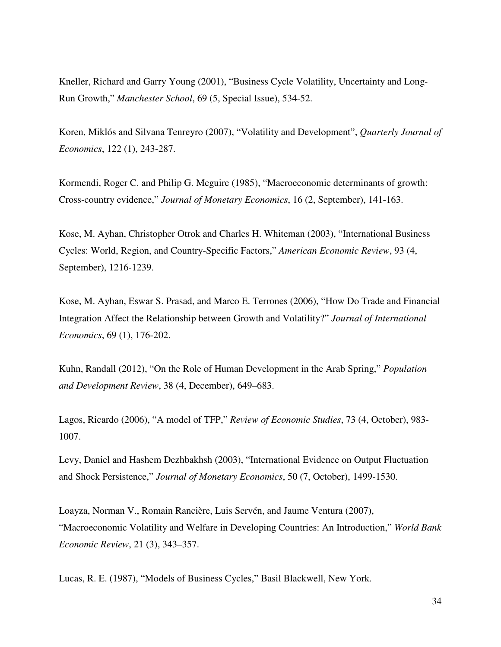Kneller, Richard and Garry Young (2001), "Business Cycle Volatility, Uncertainty and Long-Run Growth," *Manchester School*, 69 (5, Special Issue), 534-52.

Koren, Miklós and Silvana Tenreyro (2007), "Volatility and Development", *Quarterly Journal of Economics*, 122 (1), 243-287.

Kormendi, Roger C. and Philip G. Meguire (1985), "Macroeconomic determinants of growth: Cross-country evidence," *Journal of Monetary Economics*, 16 (2, September), 141-163.

Kose, M. Ayhan, Christopher Otrok and Charles H. Whiteman (2003), "International Business Cycles: World, Region, and Country-Specific Factors," *American Economic Review*, 93 (4, September), 1216-1239.

Kose, M. Ayhan, Eswar S. Prasad, and Marco E. Terrones (2006), "How Do Trade and Financial Integration Affect the Relationship between Growth and Volatility?" *Journal of International Economics*, 69 (1), 176-202.

Kuhn, Randall (2012), "On the Role of Human Development in the Arab Spring," *Population and Development Review*, 38 (4, December), 649–683.

Lagos, Ricardo (2006), "A model of TFP," *Review of Economic Studies*, 73 (4, October), 983- 1007.

Levy, Daniel and Hashem Dezhbakhsh (2003), "International Evidence on Output Fluctuation and Shock Persistence," *Journal of Monetary Economics*, 50 (7, October), 1499-1530.

Loayza, Norman V., Romain Rancière, Luis Servén, and Jaume Ventura (2007), "Macroeconomic Volatility and Welfare in Developing Countries: An Introduction," *World Bank Economic Review*, 21 (3), 343–357.

Lucas, R. E. (1987), "Models of Business Cycles," Basil Blackwell, New York.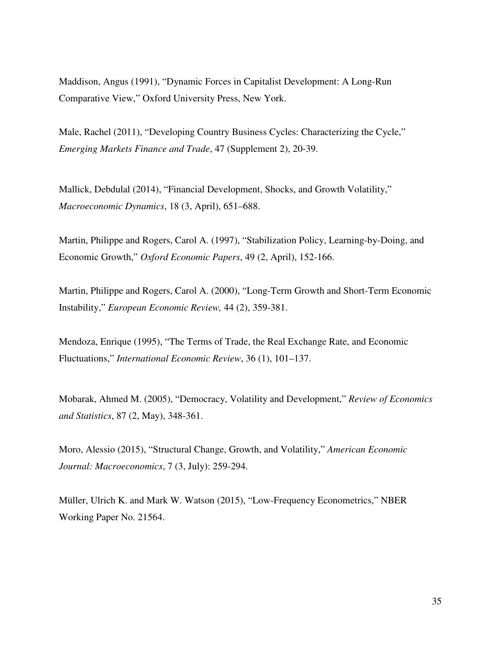Maddison, Angus (1991), "Dynamic Forces in Capitalist Development: A Long-Run Comparative View," Oxford University Press, New York.

Male, Rachel (2011), "Developing Country Business Cycles: Characterizing the Cycle," *Emerging Markets Finance and Trade*, 47 (Supplement 2), 20-39.

Mallick, Debdulal (2014), "Financial Development, Shocks, and Growth Volatility," *Macroeconomic Dynamics*, 18 (3, April), 651–688.

Martin, Philippe and Rogers, Carol A. (1997), "Stabilization Policy, Learning-by-Doing, and Economic Growth," *Oxford Economic Papers*, 49 (2, April), 152-166.

Martin, Philippe and Rogers, Carol A. (2000), "Long-Term Growth and Short-Term Economic Instability," *European Economic Review,* 44 (2), 359-381.

Mendoza, Enrique (1995), "The Terms of Trade, the Real Exchange Rate, and Economic Fluctuations," *International Economic Review*, 36 (1), 101–137.

Mobarak, Ahmed M. (2005), "Democracy, Volatility and Development," *Review of Economics and Statistics*, 87 (2, May), 348-361.

Moro, Alessio (2015), "Structural Change, Growth, and Volatility," *American Economic Journal: Macroeconomics*, 7 (3, July): 259-294.

Müller, Ulrich K. and Mark W. Watson (2015), "Low-Frequency Econometrics," NBER Working Paper No. 21564.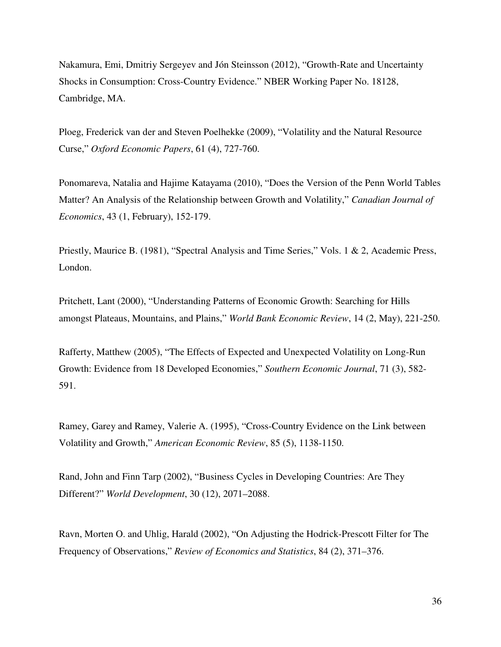Nakamura, Emi, Dmitriy Sergeyev and Jón Steinsson (2012), "Growth-Rate and Uncertainty Shocks in Consumption: Cross-Country Evidence." NBER Working Paper No. 18128, Cambridge, MA.

Ploeg, Frederick van der and Steven Poelhekke (2009), "Volatility and the Natural Resource Curse," *Oxford Economic Papers*, 61 (4), 727-760.

Ponomareva, Natalia and Hajime Katayama (2010), "Does the Version of the Penn World Tables Matter? An Analysis of the Relationship between Growth and Volatility," *Canadian Journal of Economics*, 43 (1, February), 152-179.

Priestly, Maurice B. (1981), "Spectral Analysis and Time Series," Vols. 1 & 2, Academic Press, London.

Pritchett, Lant (2000), "Understanding Patterns of Economic Growth: Searching for Hills amongst Plateaus, Mountains, and Plains," *World Bank Economic Review*, 14 (2, May), 221-250.

Rafferty, Matthew (2005), "The Effects of Expected and Unexpected Volatility on Long-Run Growth: Evidence from 18 Developed Economies," *Southern Economic Journal*, 71 (3), 582- 591.

Ramey, Garey and Ramey, Valerie A. (1995), "Cross-Country Evidence on the Link between Volatility and Growth," *American Economic Review*, 85 (5), 1138-1150.

Rand, John and Finn Tarp (2002), "Business Cycles in Developing Countries: Are They Different?" *World Development*, 30 (12), 2071–2088.

Ravn, Morten O. and Uhlig, Harald (2002), "On Adjusting the Hodrick-Prescott Filter for The Frequency of Observations," *Review of Economics and Statistics*, 84 (2), 371–376.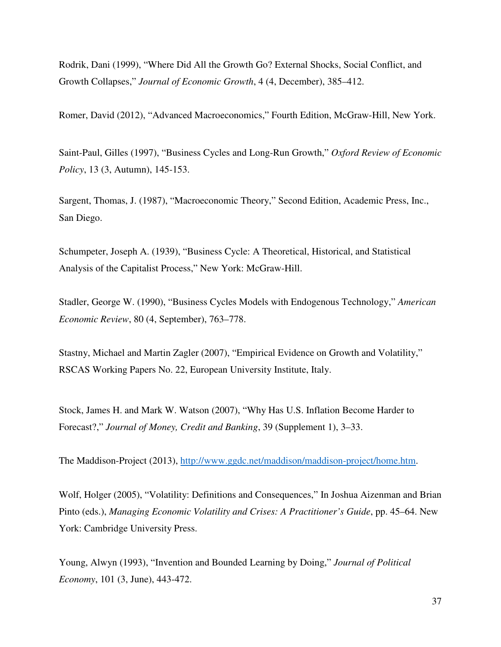Rodrik, Dani (1999), "Where Did All the Growth Go? External Shocks, Social Conflict, and Growth Collapses," *Journal of Economic Growth*, 4 (4, December), 385–412.

Romer, David (2012), "Advanced Macroeconomics," Fourth Edition, McGraw-Hill, New York.

Saint-Paul, Gilles (1997), "Business Cycles and Long-Run Growth," *Oxford Review of Economic Policy*, 13 (3, Autumn), 145-153.

Sargent, Thomas, J. (1987), "Macroeconomic Theory," Second Edition, Academic Press, Inc., San Diego.

Schumpeter, Joseph A. (1939), "Business Cycle: A Theoretical, Historical, and Statistical Analysis of the Capitalist Process," New York: McGraw-Hill.

Stadler, George W. (1990), "Business Cycles Models with Endogenous Technology," *American Economic Review*, 80 (4, September), 763–778.

Stastny, Michael and Martin Zagler (2007), "Empirical Evidence on Growth and Volatility," RSCAS Working Papers No. 22, European University Institute, Italy.

Stock, James H. and Mark W. Watson (2007), "Why Has U.S. Inflation Become Harder to Forecast?," *Journal of Money, Credit and Banking*, 39 (Supplement 1), 3–33.

The Maddison-Project (2013), http://www.ggdc.net/maddison/maddison-project/home.htm.

Wolf, Holger (2005), "Volatility: Definitions and Consequences," In Joshua Aizenman and Brian Pinto (eds.), *Managing Economic Volatility and Crises: A Practitioner's Guide*, pp. 45–64. New York: Cambridge University Press.

Young, Alwyn (1993), "Invention and Bounded Learning by Doing," *Journal of Political Economy*, 101 (3, June), 443-472.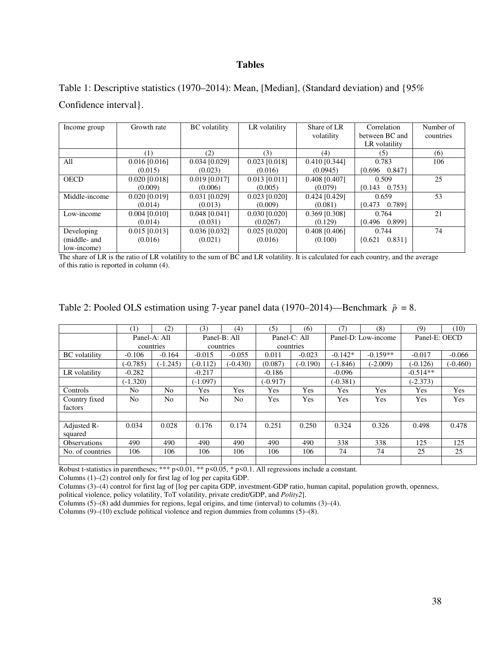## **Tables**

Table 1: Descriptive statistics (1970–2014): Mean, [Median], (Standard deviation) and {95% Confidence interval}.

| Income group  | Growth rate     | <b>BC</b> volatility | LR volatility   | Share of LR     | Correlation             | Number of |
|---------------|-----------------|----------------------|-----------------|-----------------|-------------------------|-----------|
|               |                 |                      |                 | volatility      | between BC and          | countries |
|               |                 |                      |                 |                 | LR volatility           |           |
|               | (1)             | (2)                  | (3)             | (4)             | (5)                     | (6)       |
| All           | $0.016$ [0.016] | $0.034$ [0.029]      | 0.023 [0.018]   | $0.410$ [0.344] | 0.783                   | 106       |
|               | (0.015)         | (0.023)              | (0.016)         | (0.0945)        | ${0.696 \quad 0.847}$   |           |
| <b>OECD</b>   | $0.020$ [0.018] | $0.019$ [0.017]      | $0.013$ [0.011] | 0.408 [0.407]   | 0.509                   | 25        |
|               | (0.009)         | (0.006)              | (0.005)         | (0.079)         | $\{0.143 \quad 0.753\}$ |           |
| Middle-income | $0.020$ [0.019] | 0.031 [0.029]        | $0.023$ [0.020] | $0.424$ [0.429] | 0.659                   | 53        |
|               | (0.014)         | (0.013)              | (0.009)         | (0.081)         | $\{0.473 \quad 0.789\}$ |           |
| Low-income    | $0.004$ [0.010] | 0.048 [0.041]        | $0.030$ [0.020] | $0.369$ [0.308] | 0.764                   | 21        |
|               | (0.014)         | (0.031)              | (0.0267)        | (0.129)         | $\{0.496 \quad 0.899\}$ |           |
| Developing    | $0.015$ [0.013] | $0.036$ [0.032]      | $0.025$ [0.020] | $0.408$ [0.406] | 0.744                   | 74        |
| (middle- and  | (0.016)         | (0.021)              | (0.016)         | (0.100)         | 0.831<br>${0.621}$      |           |
| low-income)   |                 |                      |                 |                 |                         |           |

The share of LR is the ratio of LR volatility to the sum of BC and LR volatility. It is calculated for each country, and the average of this ratio is reported in column (4).

| Table 2: Pooled OLS estimation using 7-year panel data (1970–2014)—Benchmark $\tilde{p} = 8$ . |  |
|------------------------------------------------------------------------------------------------|--|
|                                                                                                |  |

|                      | (1)            | (2)          | (3)            | (4)          | (5)          | (6)        | (7)        | (8)                 | (9)           | (10)       |
|----------------------|----------------|--------------|----------------|--------------|--------------|------------|------------|---------------------|---------------|------------|
|                      |                | Panel-A: All |                | Panel-B: All | Panel-C: All |            |            | Panel-D: Low-income | Panel-E: OECD |            |
|                      |                | countries    |                | countries    |              | countries  |            |                     |               |            |
| <b>BC</b> volatility | $-0.106$       | $-0.164$     | $-0.015$       | $-0.055$     | 0.011        | $-0.023$   | $-0.142*$  | $-0.159**$          | $-0.017$      | $-0.066$   |
|                      | $(-0.785)$     | $(-1.245)$   | $(-0.112)$     | $(-0.430)$   | (0.087)      | $(-0.190)$ | $(-1.846)$ | $(-2.009)$          | $(-0.126)$    | $(-0.460)$ |
| LR volatility        | $-0.282$       |              | $-0.217$       |              | $-0.186$     |            | $-0.096$   |                     | $-0.514**$    |            |
|                      | $(-1.320)$     |              | $(-1.097)$     |              | $(-0.917)$   |            | $(-0.381)$ |                     | $(-2.373)$    |            |
| <b>Controls</b>      | No             | No.          | Yes            | Yes          | Yes          | Yes        | Yes        | Yes                 | Yes           | Yes        |
| Country fixed        | N <sub>o</sub> | No.          | N <sub>o</sub> | No           | Yes          | <b>Yes</b> | Yes        | Yes                 | Yes           | Yes        |
| factors              |                |              |                |              |              |            |            |                     |               |            |
|                      |                |              |                |              |              |            |            |                     |               |            |
| Adjusted R-          | 0.034          | 0.028        | 0.176          | 0.174        | 0.251        | 0.250      | 0.324      | 0.326               | 0.498         | 0.478      |
| squared              |                |              |                |              |              |            |            |                     |               |            |
| Observations         | 490            | 490          | 490            | 490          | 490          | 490        | 338        | 338                 | 125           | 125        |
| No. of countries     | 106            | 106          | 106            | 106          | 106          | 106        | 74         | 74                  | 25            | 25         |
|                      |                |              |                |              |              |            |            |                     |               |            |

Robust t-statistics in parentheses; \*\*\* p<0.01, \*\* p<0.05, \* p<0.1. All regressions include a constant.

Columns (1)–(2) control only for first lag of log per capita GDP.

Columns (3)–(4) control for first lag of [log per capita GDP, investment-GDP ratio, human capital, population growth, openness,

political violence, policy volatility, ToT volatility, private credit/GDP, and *Polity2*].

Columns (5)–(8) add dummies for regions, legal origins, and time (interval) to columns (3)–(4).

Columns  $(9)$ – $(10)$  exclude political violence and region dummies from columns  $(5)$ – $(8)$ .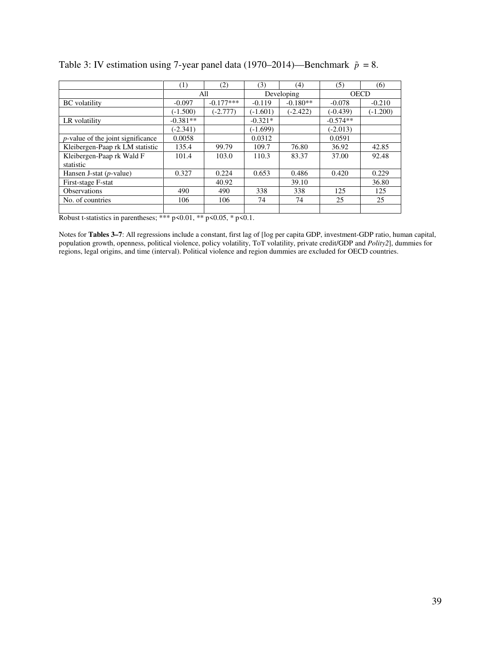|                                      | (1)        | (2)         | (3)        | (4)        | (5)        | (6)         |
|--------------------------------------|------------|-------------|------------|------------|------------|-------------|
|                                      |            | All         |            | Developing |            | <b>OECD</b> |
| <b>BC</b> volatility                 | $-0.097$   | $-0.177***$ | $-0.119$   | $-0.180**$ | $-0.078$   | $-0.210$    |
|                                      | $(-1.500)$ | $(-2.777)$  | $(-1.601)$ | $(-2.422)$ | $(-0.439)$ | $(-1.200)$  |
| LR volatility                        | $-0.381**$ |             | $-0.321*$  |            | $-0.574**$ |             |
|                                      | $(-2.341)$ |             | $(-1.699)$ |            | $(-2.013)$ |             |
| $p$ -value of the joint significance | 0.0058     |             | 0.0312     |            | 0.0591     |             |
| Kleibergen-Paap rk LM statistic      | 135.4      | 99.79       | 109.7      | 76.80      | 36.92      | 42.85       |
| Kleibergen-Paap rk Wald F            | 101.4      | 103.0       | 110.3      | 83.37      | 37.00      | 92.48       |
| statistic                            |            |             |            |            |            |             |
| Hansen J-stat $(p$ -value)           | 0.327      | 0.224       | 0.653      | 0.486      | 0.420      | 0.229       |
| First-stage F-stat                   |            | 40.92       |            | 39.10      |            | 36.80       |
| Observations                         | 490        | 490         | 338        | 338        | 125        | 125         |
| No. of countries                     | 106        | 106         | 74         | 74         | 25         | 25          |
|                                      |            |             |            |            |            |             |

Table 3: IV estimation using 7-year panel data (1970–2014)—Benchmark  $\tilde{p} = 8$ .

Robust t-statistics in parentheses; \*\*\* p<0.01, \*\* p<0.05, \* p<0.1.

Notes for **Tables 3–7**: All regressions include a constant, first lag of [log per capita GDP, investment-GDP ratio, human capital, population growth, openness, political violence, policy volatility, ToT volatility, private credit/GDP and *Polity2*], dummies for regions, legal origins, and time (interval). Political violence and region dummies are excluded for OECD countries.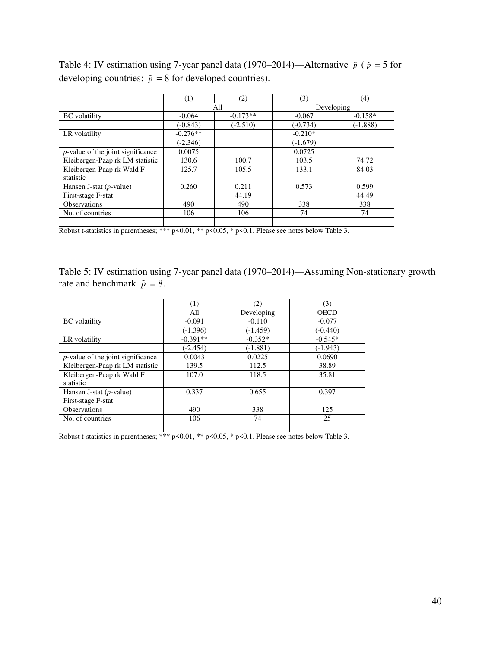Table 4: IV estimation using 7-year panel data (1970–2014)—Alternative  $\tilde{p}$  ( $\tilde{p} = 5$  for developing countries;  $\tilde{p} = 8$  for developed countries).

|                                      | (1)        | (2)        | (3)        | (4)        |
|--------------------------------------|------------|------------|------------|------------|
|                                      |            | All        | Developing |            |
| <b>BC</b> volatility                 | $-0.064$   | $-0.173**$ | $-0.067$   | $-0.158*$  |
|                                      | $(-0.843)$ | $(-2.510)$ | $(-0.734)$ | $(-1.888)$ |
| LR volatility                        | $-0.276**$ |            | $-0.210*$  |            |
|                                      | $(-2.346)$ |            | $(-1.679)$ |            |
| $p$ -value of the joint significance | 0.0075     |            | 0.0725     |            |
| Kleibergen-Paap rk LM statistic      | 130.6      | 100.7      | 103.5      | 74.72      |
| Kleibergen-Paap rk Wald F            | 125.7      | 105.5      | 133.1      | 84.03      |
| statistic                            |            |            |            |            |
| Hansen J-stat $(p$ -value)           | 0.260      | 0.211      | 0.573      | 0.599      |
| First-stage F-stat                   |            | 44.19      |            | 44.49      |
| Observations                         | 490        | 490        | 338        | 338        |
| No. of countries                     | 106        | 106        | 74         | 74         |
|                                      |            |            |            |            |

Robust t-statistics in parentheses; \*\*\* p<0.01, \*\* p<0.05, \* p<0.1. Please see notes below Table 3.

Table 5: IV estimation using 7-year panel data (1970–2014)—Assuming Non-stationary growth rate and benchmark  $\tilde{p} = 8$ .

|                                      | (1)        | (2)        | (3)         |
|--------------------------------------|------------|------------|-------------|
|                                      | All        | Developing | <b>OECD</b> |
| <b>BC</b> volatility                 | $-0.091$   | $-0.110$   | $-0.077$    |
|                                      | $(-1.396)$ | (-1.459)   | $(-0.440)$  |
| LR volatility                        | $-0.391**$ | $-0.352*$  | $-0.545*$   |
|                                      | $(-2.454)$ | $(-1.881)$ | $(-1.943)$  |
| $p$ -value of the joint significance | 0.0043     | 0.0225     | 0.0690      |
| Kleibergen-Paap rk LM statistic      | 139.5      | 112.5      | 38.89       |
| Kleibergen-Paap rk Wald F            | 107.0      | 118.5      | 35.81       |
| statistic                            |            |            |             |
| Hansen J-stat $(p$ -value)           | 0.337      | 0.655      | 0.397       |
| First-stage F-stat                   |            |            |             |
| Observations                         | 490        | 338        | 125         |
| No. of countries                     | 106        | 74         | 25          |
|                                      |            |            |             |

Robust t-statistics in parentheses; \*\*\* p<0.01, \*\* p<0.05, \* p<0.1. Please see notes below Table 3.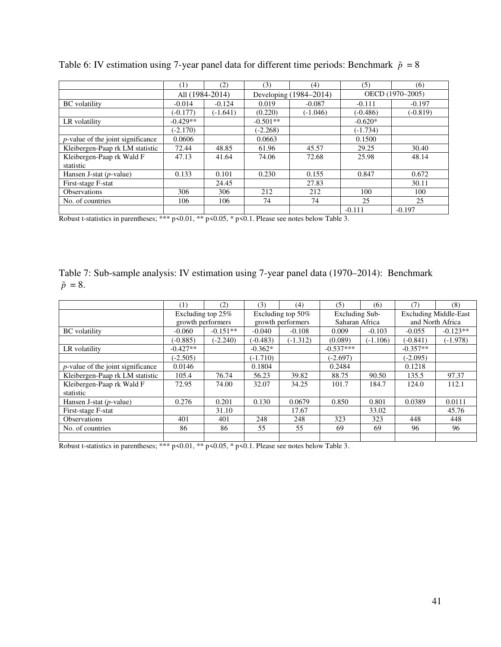|                                      | (1)             | (2)        | (3)        | (4)                    | (5)        | (6)              |
|--------------------------------------|-----------------|------------|------------|------------------------|------------|------------------|
|                                      | All (1984-2014) |            |            | Developing (1984-2014) |            | OECD (1970-2005) |
| <b>BC</b> volatility                 | $-0.014$        | $-0.124$   | 0.019      | $-0.087$               | $-0.111$   | $-0.197$         |
|                                      | $(-0.177)$      | $(-1.641)$ | (0.220)    | $(-1.046)$             | $(-0.486)$ | $(-0.819)$       |
| LR volatility                        | $-0.429**$      |            | $-0.501**$ |                        | $-0.620*$  |                  |
|                                      | $(-2.170)$      |            | $(-2.268)$ |                        | $(-1.734)$ |                  |
| $p$ -value of the joint significance | 0.0606          |            | 0.0663     |                        | 0.1500     |                  |
| Kleibergen-Paap rk LM statistic      | 72.44           | 48.85      | 61.96      | 45.57                  | 29.25      | 30.40            |
| Kleibergen-Paap rk Wald F            | 47.13           | 41.64      | 74.06      | 72.68                  | 25.98      | 48.14            |
| statistic                            |                 |            |            |                        |            |                  |
| Hansen J-stat $(p$ -value)           | 0.133           | 0.101      | 0.230      | 0.155                  | 0.847      | 0.672            |
| First-stage F-stat                   |                 | 24.45      |            | 27.83                  |            | 30.11            |
| <b>Observations</b>                  | 306             | 306        | 212        | 212                    | 100        | 100              |
| No. of countries                     | 106             | 106        | 74         | 74                     | 25         | 25               |
|                                      |                 |            |            |                        | $-0.111$   | $-0.197$         |

Table 6: IV estimation using 7-year panel data for different time periods: Benchmark  $\tilde{p} = 8$ 

Robust t-statistics in parentheses; \*\*\* p<0.01, \*\* p<0.05, \* p<0.1. Please see notes below Table 3.

Table 7: Sub-sample analysis: IV estimation using 7-year panel data (1970–2014): Benchmark  $\tilde{p} = 8.$ 

|                                      | $\left(1\right)$ | (2)               | (3)        | (4)               | (5)         | (6)            | (7)              | (8)                          |  |
|--------------------------------------|------------------|-------------------|------------|-------------------|-------------|----------------|------------------|------------------------------|--|
|                                      |                  | Excluding top 25% |            | Excluding top 50% |             | Excluding Sub- |                  | <b>Excluding Middle-East</b> |  |
|                                      |                  | growth performers |            | growth performers |             | Saharan Africa | and North Africa |                              |  |
| <b>BC</b> volatility                 | $-0.060$         | $-0.151**$        | $-0.040$   | $-0.108$          | 0.009       | $-0.103$       | $-0.055$         | $-0.123**$                   |  |
|                                      | $(-0.885)$       | $(-2.240)$        | $(-0.483)$ | $(-1.312)$        | (0.089)     | $(-1.106)$     | $(-0.841)$       | $(-1.978)$                   |  |
| LR volatility                        | $-0.427**$       |                   | $-0.362*$  |                   | $-0.537***$ |                | $-0.357**$       |                              |  |
|                                      | $(-2.505)$       |                   | $(-1.710)$ |                   | $(-2.697)$  |                | $(-2.095)$       |                              |  |
| $p$ -value of the joint significance | 0.0146           |                   | 0.1804     |                   | 0.2484      |                | 0.1218           |                              |  |
| Kleibergen-Paap rk LM statistic      | 105.4            | 76.74             | 56.23      | 39.82             | 88.75       | 90.50          | 135.5            | 97.37                        |  |
| Kleibergen-Paap rk Wald F            | 72.95            | 74.00             | 32.07      | 34.25             | 101.7       | 184.7          | 124.0            | 112.1                        |  |
| statistic                            |                  |                   |            |                   |             |                |                  |                              |  |
| Hansen J-stat $(p$ -value)           | 0.276            | 0.201             | 0.130      | 0.0679            | 0.850       | 0.801          | 0.0389           | 0.0111                       |  |
| First-stage F-stat                   |                  | 31.10             |            | 17.67             |             | 33.02          |                  | 45.76                        |  |
| <b>Observations</b>                  | 401              | 401               | 248        | 248               | 323         | 323            | 448              | 448                          |  |
| No. of countries                     | 86               | 86                | 55         | 55                | 69          | 69             | 96               | 96                           |  |
|                                      |                  |                   |            |                   |             |                |                  |                              |  |

Robust t-statistics in parentheses; \*\*\*  $p<0.01$ , \*\*  $p<0.05$ , \*  $p<0.1$ . Please see notes below Table 3.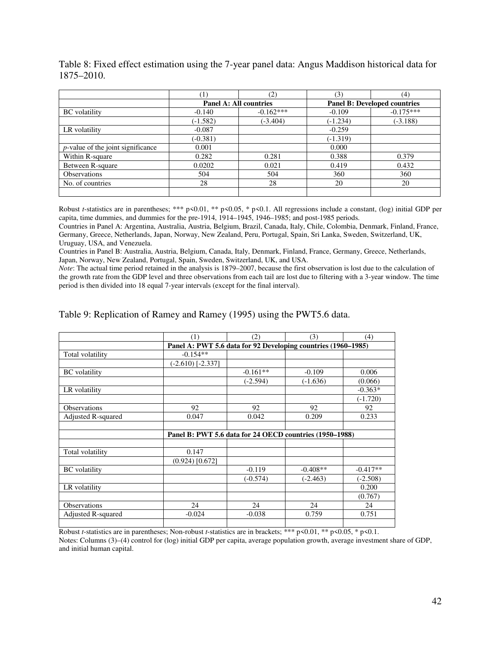|                                      | ′1)        | (2)                           | (3)        | (4)                                 |
|--------------------------------------|------------|-------------------------------|------------|-------------------------------------|
|                                      |            | <b>Panel A: All countries</b> |            | <b>Panel B: Developed countries</b> |
| <b>BC</b> volatility                 | $-0.140$   | $-0.162***$                   | $-0.109$   | $-0.175***$                         |
|                                      | $(-1.582)$ | $(-3.404)$                    | $(-1.234)$ | $(-3.188)$                          |
| LR volatility                        | $-0.087$   |                               | $-0.259$   |                                     |
|                                      | $(-0.381)$ |                               | $(-1.319)$ |                                     |
| $p$ -value of the joint significance | 0.001      |                               | 0.000      |                                     |
| Within R-square                      | 0.282      | 0.281                         | 0.388      | 0.379                               |
| Between R-square                     | 0.0202     | 0.021                         | 0.419      | 0.432                               |
| <b>Observations</b>                  | 504        | 504                           | 360        | 360                                 |
| No. of countries                     | 28         | 28                            | 20         | 20                                  |
|                                      |            |                               |            |                                     |

Table 8: Fixed effect estimation using the 7-year panel data: Angus Maddison historical data for 1875–2010.

Robust *t*-statistics are in parentheses; \*\*\* p<0.01, \*\* p<0.05, \* p<0.1. All regressions include a constant, (log) initial GDP per capita, time dummies, and dummies for the pre-1914, 1914–1945, 1946–1985; and post-1985 periods.

Countries in Panel A: Argentina, Australia, Austria, Belgium, Brazil, Canada, Italy, Chile, Colombia, Denmark, Finland, France, Germany, Greece, Netherlands, Japan, Norway, New Zealand, Peru, Portugal, Spain, Sri Lanka, Sweden, Switzerland, UK, Uruguay, USA, and Venezuela.

Countries in Panel B: Australia, Austria, Belgium, Canada, Italy, Denmark, Finland, France, Germany, Greece, Netherlands, Japan, Norway, New Zealand, Portugal, Spain, Sweden, Switzerland, UK, and USA.

*Note*: The actual time period retained in the analysis is 1879–2007, because the first observation is lost due to the calculation of the growth rate from the GDP level and three observations from each tail are lost due to filtering with a 3-year window. The time period is then divided into 18 equal 7-year intervals (except for the final interval).

Table 9: Replication of Ramey and Ramey (1995) using the PWT5.6 data.

|                      | (1)                                                           | (2)        | (3)        | (4)        |
|----------------------|---------------------------------------------------------------|------------|------------|------------|
|                      | Panel A: PWT 5.6 data for 92 Developing countries (1960-1985) |            |            |            |
| Total volatility     | $-0.154**$                                                    |            |            |            |
|                      | $(-2.610)$ [-2.337]                                           |            |            |            |
| <b>BC</b> volatility |                                                               | $-0.161**$ | $-0.109$   | 0.006      |
|                      |                                                               | $(-2.594)$ | $(-1.636)$ | (0.066)    |
| LR volatility        |                                                               |            |            | $-0.363*$  |
|                      |                                                               |            |            | $(-1.720)$ |
| Observations         | 92                                                            | 92         | 92         | 92         |
| Adjusted R-squared   | 0.047                                                         | 0.042      | 0.209      | 0.233      |
|                      |                                                               |            |            |            |
|                      | Panel B: PWT 5.6 data for 24 OECD countries (1950–1988)       |            |            |            |
|                      |                                                               |            |            |            |
| Total volatility     | 0.147                                                         |            |            |            |
|                      | $(0.924)$ [0.672]                                             |            |            |            |
| <b>BC</b> volatility |                                                               | $-0.119$   | $-0.408**$ | $-0.417**$ |
|                      |                                                               | $(-0.574)$ | $(-2.463)$ | $(-2.508)$ |
| LR volatility        |                                                               |            |            | 0.200      |
|                      |                                                               |            |            | (0.767)    |
| Observations         | 24                                                            | 24         | 24         | 24         |
| Adjusted R-squared   | $-0.024$                                                      | $-0.038$   | 0.759      | 0.751      |
|                      |                                                               |            |            |            |

Robust *t*-statistics are in parentheses; Non-robust *t*-statistics are in brackets; \*\*\* p<0.01, \*\* p<0.05, \* p<0.1. Notes: Columns (3)–(4) control for (log) initial GDP per capita, average population growth, average investment share of GDP, and initial human capital.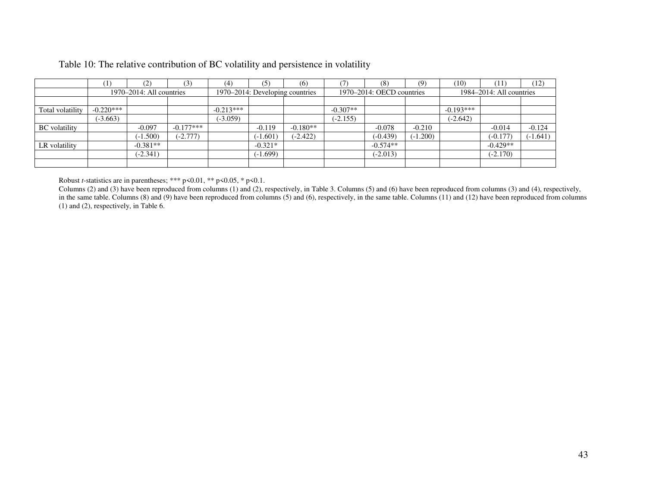|                      | (1)         | (2)                           | (3)         | (4)         | (5)                             | (6)        |                           | (8)        | (9)                           | (10)        | (11)       | (12)       |
|----------------------|-------------|-------------------------------|-------------|-------------|---------------------------------|------------|---------------------------|------------|-------------------------------|-------------|------------|------------|
|                      |             | $1970 - 2014$ : All countries |             |             | 1970–2014: Developing countries |            | 1970–2014: OECD countries |            | $1984 - 2014$ : All countries |             |            |            |
|                      |             |                               |             |             |                                 |            |                           |            |                               |             |            |            |
| Total volatility     | $-0.220***$ |                               |             | $-0.213***$ |                                 |            | $-0.307**$                |            |                               | $-0.193***$ |            |            |
|                      | $(-3.663)$  |                               |             | $(-3.059)$  |                                 |            | $(-2.155)$                |            |                               | $(-2.642)$  |            |            |
| <b>BC</b> volatility |             | $-0.097$                      | $-0.177***$ |             | $-0.119$                        | $-0.180**$ |                           | $-0.078$   | $-0.210$                      |             | $-0.014$   | $-0.124$   |
|                      |             | $(-1.500)$                    | $-2.777$    |             | $(-1.601)$                      | $(-2.422)$ |                           | $(-0.439)$ | $(-1.200)$                    |             | $(-0.177)$ | $(-1.641)$ |
| LR volatility        |             | $-0.381**$                    |             |             | $-0.321*$                       |            |                           | $-0.574**$ |                               |             | $-0.429**$ |            |
|                      |             | $(-2.341)$                    |             |             | $(-1.699)$                      |            |                           | $(-2.013)$ |                               |             | $(-2.170)$ |            |
|                      |             |                               |             |             |                                 |            |                           |            |                               |             |            |            |

## Table 10: The relative contribution of BC volatility and persistence in volatility

Robust *t*-statistics are in parentheses; \*\*\* p<0.01, \*\* p<0.05, \* p<0.1.

Columns (2) and (3) have been reproduced from columns (1) and (2), respectively, in Table 3. Columns (5) and (6) have been reproduced from columns (3) and (4), respectively, in the same table. Columns (8) and (9) have been reproduced from columns (5) and (6), respectively, in the same table. Columns (11) and (12) have been reproduced from columns (1) and (2), respectively, in Table 6.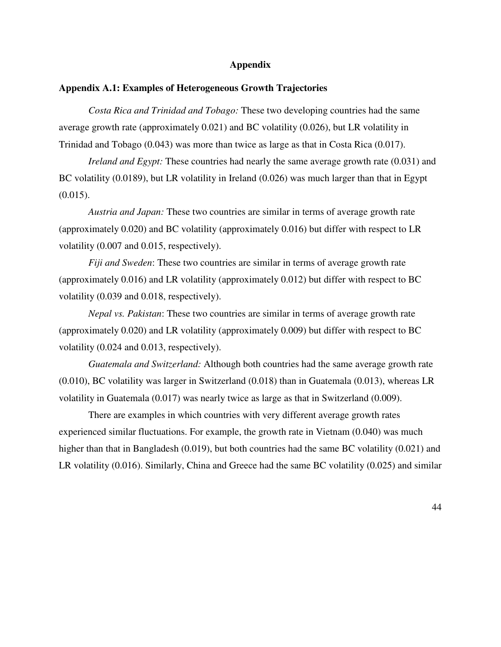#### **Appendix**

#### **Appendix A.1: Examples of Heterogeneous Growth Trajectories**

*Costa Rica and Trinidad and Tobago:* These two developing countries had the same average growth rate (approximately 0.021) and BC volatility (0.026), but LR volatility in Trinidad and Tobago (0.043) was more than twice as large as that in Costa Rica (0.017).

*Ireland and Egypt:* These countries had nearly the same average growth rate (0.031) and BC volatility (0.0189), but LR volatility in Ireland (0.026) was much larger than that in Egypt  $(0.015)$ .

*Austria and Japan:* These two countries are similar in terms of average growth rate (approximately 0.020) and BC volatility (approximately 0.016) but differ with respect to LR volatility (0.007 and 0.015, respectively).

*Fiji and Sweden*: These two countries are similar in terms of average growth rate (approximately 0.016) and LR volatility (approximately 0.012) but differ with respect to BC volatility (0.039 and 0.018, respectively).

*Nepal vs. Pakistan*: These two countries are similar in terms of average growth rate (approximately 0.020) and LR volatility (approximately 0.009) but differ with respect to BC volatility (0.024 and 0.013, respectively).

*Guatemala and Switzerland:* Although both countries had the same average growth rate (0.010), BC volatility was larger in Switzerland (0.018) than in Guatemala (0.013), whereas LR volatility in Guatemala (0.017) was nearly twice as large as that in Switzerland (0.009).

There are examples in which countries with very different average growth rates experienced similar fluctuations. For example, the growth rate in Vietnam (0.040) was much higher than that in Bangladesh (0.019), but both countries had the same BC volatility (0.021) and LR volatility (0.016). Similarly, China and Greece had the same BC volatility (0.025) and similar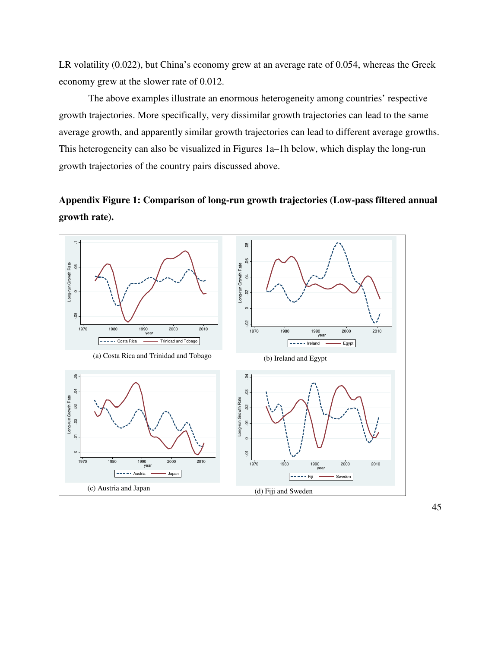LR volatility (0.022), but China's economy grew at an average rate of 0.054, whereas the Greek economy grew at the slower rate of 0.012.

The above examples illustrate an enormous heterogeneity among countries' respective growth trajectories. More specifically, very dissimilar growth trajectories can lead to the same average growth, and apparently similar growth trajectories can lead to different average growths. This heterogeneity can also be visualized in Figures 1a–1h below, which display the long-run growth trajectories of the country pairs discussed above.

# **Appendix Figure 1: Comparison of long-run growth trajectories (Low-pass filtered annual growth rate).**

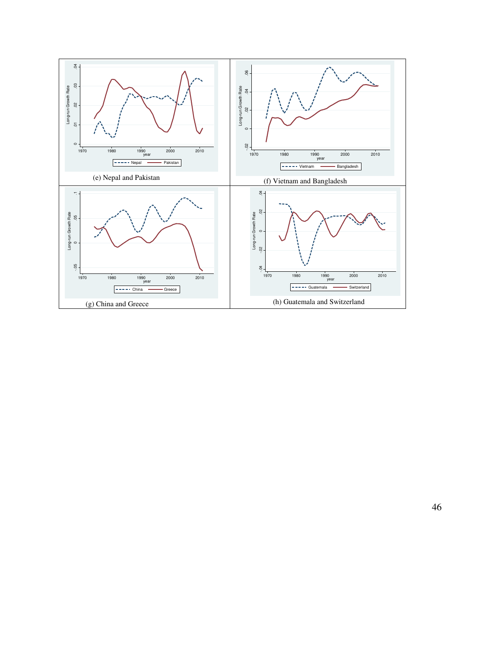